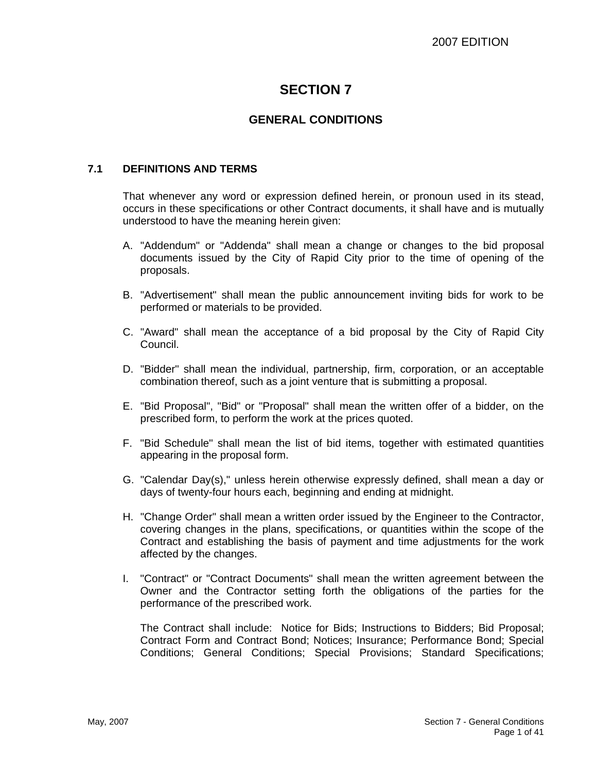# **SECTION 7**

## **GENERAL CONDITIONS**

### **7.1 DEFINITIONS AND TERMS**

That whenever any word or expression defined herein, or pronoun used in its stead, occurs in these specifications or other Contract documents, it shall have and is mutually understood to have the meaning herein given:

- A. "Addendum" or "Addenda" shall mean a change or changes to the bid proposal documents issued by the City of Rapid City prior to the time of opening of the proposals.
- B. "Advertisement" shall mean the public announcement inviting bids for work to be performed or materials to be provided.
- C. "Award" shall mean the acceptance of a bid proposal by the City of Rapid City Council.
- D. "Bidder" shall mean the individual, partnership, firm, corporation, or an acceptable combination thereof, such as a joint venture that is submitting a proposal.
- E. "Bid Proposal", "Bid" or "Proposal" shall mean the written offer of a bidder, on the prescribed form, to perform the work at the prices quoted.
- F. "Bid Schedule" shall mean the list of bid items, together with estimated quantities appearing in the proposal form.
- G. "Calendar Day(s)," unless herein otherwise expressly defined, shall mean a day or days of twenty-four hours each, beginning and ending at midnight.
- H. "Change Order" shall mean a written order issued by the Engineer to the Contractor, covering changes in the plans, specifications, or quantities within the scope of the Contract and establishing the basis of payment and time adjustments for the work affected by the changes.
- I. "Contract" or "Contract Documents" shall mean the written agreement between the Owner and the Contractor setting forth the obligations of the parties for the performance of the prescribed work.

The Contract shall include: Notice for Bids; Instructions to Bidders; Bid Proposal; Contract Form and Contract Bond; Notices; Insurance; Performance Bond; Special Conditions; General Conditions; Special Provisions; Standard Specifications;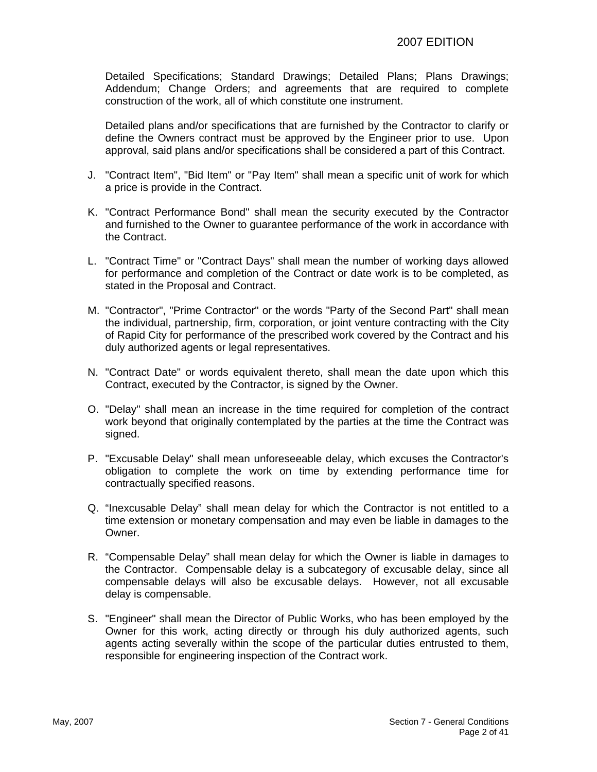Detailed Specifications; Standard Drawings; Detailed Plans; Plans Drawings; Addendum; Change Orders; and agreements that are required to complete construction of the work, all of which constitute one instrument.

Detailed plans and/or specifications that are furnished by the Contractor to clarify or define the Owners contract must be approved by the Engineer prior to use. Upon approval, said plans and/or specifications shall be considered a part of this Contract.

- J. "Contract Item", "Bid Item" or "Pay Item" shall mean a specific unit of work for which a price is provide in the Contract.
- K. "Contract Performance Bond" shall mean the security executed by the Contractor and furnished to the Owner to guarantee performance of the work in accordance with the Contract.
- L. "Contract Time" or "Contract Days" shall mean the number of working days allowed for performance and completion of the Contract or date work is to be completed, as stated in the Proposal and Contract.
- M. "Contractor", "Prime Contractor" or the words "Party of the Second Part" shall mean the individual, partnership, firm, corporation, or joint venture contracting with the City of Rapid City for performance of the prescribed work covered by the Contract and his duly authorized agents or legal representatives.
- N. "Contract Date" or words equivalent thereto, shall mean the date upon which this Contract, executed by the Contractor, is signed by the Owner.
- O. "Delay" shall mean an increase in the time required for completion of the contract work beyond that originally contemplated by the parties at the time the Contract was signed.
- P. "Excusable Delay" shall mean unforeseeable delay, which excuses the Contractor's obligation to complete the work on time by extending performance time for contractually specified reasons.
- Q. "Inexcusable Delay" shall mean delay for which the Contractor is not entitled to a time extension or monetary compensation and may even be liable in damages to the Owner.
- R. "Compensable Delay" shall mean delay for which the Owner is liable in damages to the Contractor. Compensable delay is a subcategory of excusable delay, since all compensable delays will also be excusable delays. However, not all excusable delay is compensable.
- S. "Engineer" shall mean the Director of Public Works, who has been employed by the Owner for this work, acting directly or through his duly authorized agents, such agents acting severally within the scope of the particular duties entrusted to them, responsible for engineering inspection of the Contract work.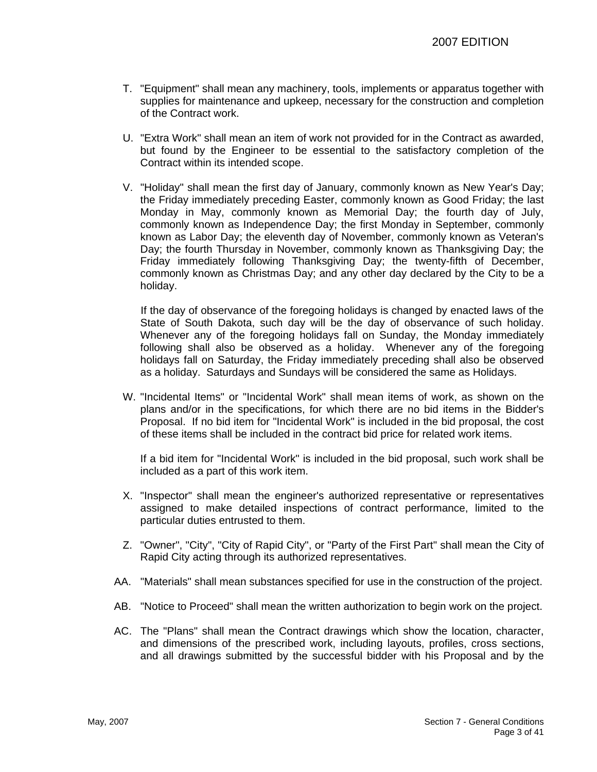- T. "Equipment" shall mean any machinery, tools, implements or apparatus together with supplies for maintenance and upkeep, necessary for the construction and completion of the Contract work.
- U. "Extra Work" shall mean an item of work not provided for in the Contract as awarded, but found by the Engineer to be essential to the satisfactory completion of the Contract within its intended scope.
- V. "Holiday" shall mean the first day of January, commonly known as New Year's Day; the Friday immediately preceding Easter, commonly known as Good Friday; the last Monday in May, commonly known as Memorial Day; the fourth day of July, commonly known as Independence Day; the first Monday in September, commonly known as Labor Day; the eleventh day of November, commonly known as Veteran's Day; the fourth Thursday in November, commonly known as Thanksgiving Day; the Friday immediately following Thanksgiving Day; the twenty-fifth of December, commonly known as Christmas Day; and any other day declared by the City to be a holiday.

If the day of observance of the foregoing holidays is changed by enacted laws of the State of South Dakota, such day will be the day of observance of such holiday. Whenever any of the foregoing holidays fall on Sunday, the Monday immediately following shall also be observed as a holiday. Whenever any of the foregoing holidays fall on Saturday, the Friday immediately preceding shall also be observed as a holiday. Saturdays and Sundays will be considered the same as Holidays.

W. "Incidental Items" or "Incidental Work" shall mean items of work, as shown on the plans and/or in the specifications, for which there are no bid items in the Bidder's Proposal. If no bid item for "Incidental Work" is included in the bid proposal, the cost of these items shall be included in the contract bid price for related work items.

If a bid item for "Incidental Work" is included in the bid proposal, such work shall be included as a part of this work item.

- X. "Inspector" shall mean the engineer's authorized representative or representatives assigned to make detailed inspections of contract performance, limited to the particular duties entrusted to them.
- Z. "Owner", "City", "City of Rapid City", or "Party of the First Part" shall mean the City of Rapid City acting through its authorized representatives.
- AA. "Materials" shall mean substances specified for use in the construction of the project.
- AB. "Notice to Proceed" shall mean the written authorization to begin work on the project.
- AC. The "Plans" shall mean the Contract drawings which show the location, character, and dimensions of the prescribed work, including layouts, profiles, cross sections, and all drawings submitted by the successful bidder with his Proposal and by the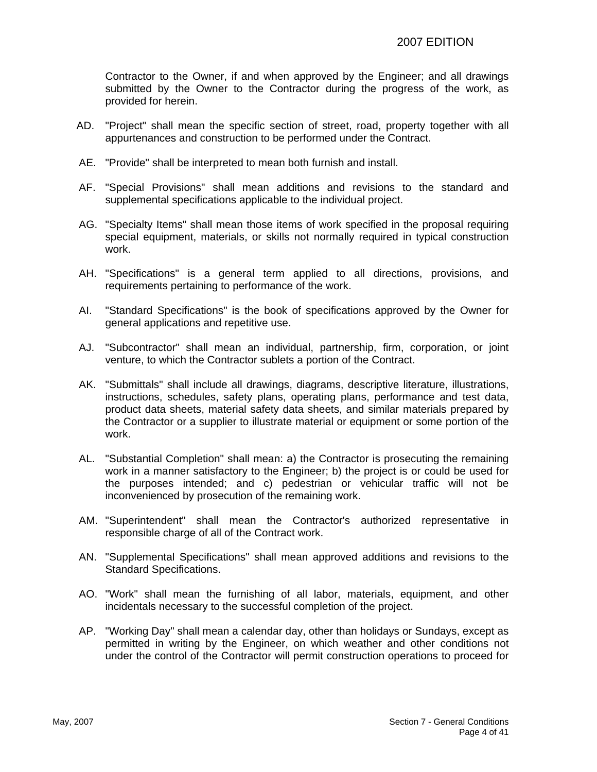Contractor to the Owner, if and when approved by the Engineer; and all drawings submitted by the Owner to the Contractor during the progress of the work, as provided for herein.

- AD. "Project" shall mean the specific section of street, road, property together with all appurtenances and construction to be performed under the Contract.
- AE. "Provide" shall be interpreted to mean both furnish and install.
- AF. "Special Provisions" shall mean additions and revisions to the standard and supplemental specifications applicable to the individual project.
- AG. "Specialty Items" shall mean those items of work specified in the proposal requiring special equipment, materials, or skills not normally required in typical construction work.
- AH. "Specifications" is a general term applied to all directions, provisions, and requirements pertaining to performance of the work.
- AI. "Standard Specifications" is the book of specifications approved by the Owner for general applications and repetitive use.
- AJ. "Subcontractor" shall mean an individual, partnership, firm, corporation, or joint venture, to which the Contractor sublets a portion of the Contract.
- AK. "Submittals" shall include all drawings, diagrams, descriptive literature, illustrations, instructions, schedules, safety plans, operating plans, performance and test data, product data sheets, material safety data sheets, and similar materials prepared by the Contractor or a supplier to illustrate material or equipment or some portion of the work.
- AL. "Substantial Completion" shall mean: a) the Contractor is prosecuting the remaining work in a manner satisfactory to the Engineer; b) the project is or could be used for the purposes intended; and c) pedestrian or vehicular traffic will not be inconvenienced by prosecution of the remaining work.
- AM. "Superintendent" shall mean the Contractor's authorized representative in responsible charge of all of the Contract work.
- AN. "Supplemental Specifications" shall mean approved additions and revisions to the Standard Specifications.
- AO. "Work" shall mean the furnishing of all labor, materials, equipment, and other incidentals necessary to the successful completion of the project.
- AP. "Working Day" shall mean a calendar day, other than holidays or Sundays, except as permitted in writing by the Engineer, on which weather and other conditions not under the control of the Contractor will permit construction operations to proceed for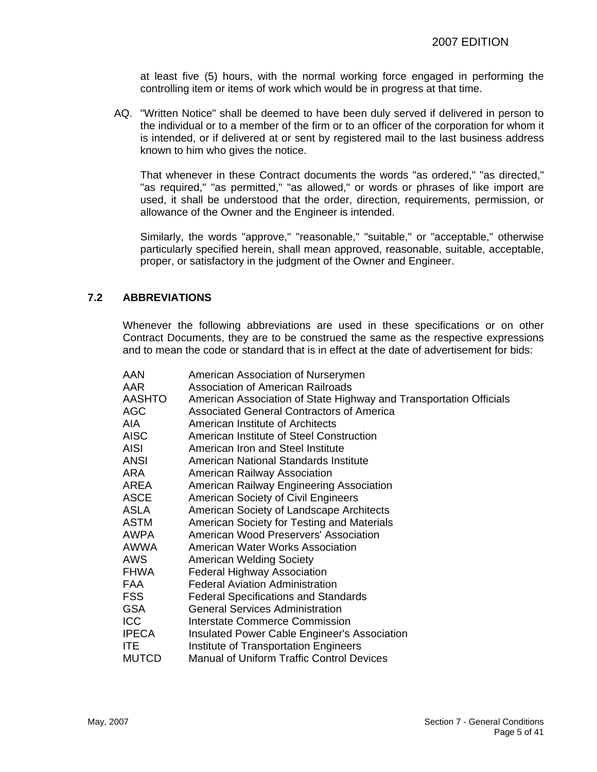at least five (5) hours, with the normal working force engaged in performing the controlling item or items of work which would be in progress at that time.

AQ. "Written Notice" shall be deemed to have been duly served if delivered in person to the individual or to a member of the firm or to an officer of the corporation for whom it is intended, or if delivered at or sent by registered mail to the last business address known to him who gives the notice.

That whenever in these Contract documents the words "as ordered," "as directed," "as required," "as permitted," "as allowed," or words or phrases of like import are used, it shall be understood that the order, direction, requirements, permission, or allowance of the Owner and the Engineer is intended.

Similarly, the words "approve," "reasonable," "suitable," or "acceptable," otherwise particularly specified herein, shall mean approved, reasonable, suitable, acceptable, proper, or satisfactory in the judgment of the Owner and Engineer.

## **7.2 ABBREVIATIONS**

Whenever the following abbreviations are used in these specifications or on other Contract Documents, they are to be construed the same as the respective expressions and to mean the code or standard that is in effect at the date of advertisement for bids:

| AAN           | American Association of Nurserymen                                 |  |  |
|---------------|--------------------------------------------------------------------|--|--|
| AAR.          | Association of American Railroads                                  |  |  |
| <b>AASHTO</b> | American Association of State Highway and Transportation Officials |  |  |
| <b>AGC</b>    | Associated General Contractors of America                          |  |  |
| AIA.          | American Institute of Architects                                   |  |  |
| <b>AISC</b>   | American Institute of Steel Construction                           |  |  |
| AISI          | American Iron and Steel Institute                                  |  |  |
| ANSI          | American National Standards Institute                              |  |  |
| ARA           | American Railway Association                                       |  |  |
| AREA          | American Railway Engineering Association                           |  |  |
| ASCE          | <b>American Society of Civil Engineers</b>                         |  |  |
| ASLA          | American Society of Landscape Architects                           |  |  |
| ASTM          | American Society for Testing and Materials                         |  |  |
| AWPA          | American Wood Preservers' Association                              |  |  |
| AWWA          | American Water Works Association                                   |  |  |
| AWS           | <b>American Welding Society</b>                                    |  |  |
| <b>FHWA</b>   | <b>Federal Highway Association</b>                                 |  |  |
| FAA.          | <b>Federal Aviation Administration</b>                             |  |  |
| <b>FSS</b>    | <b>Federal Specifications and Standards</b>                        |  |  |
| <b>GSA</b>    | <b>General Services Administration</b>                             |  |  |
| <b>ICC</b>    | Interstate Commerce Commission                                     |  |  |
| <b>IPECA</b>  | <b>Insulated Power Cable Engineer's Association</b>                |  |  |
| ITE.          | Institute of Transportation Engineers                              |  |  |
| <b>MUTCD</b>  | <b>Manual of Uniform Traffic Control Devices</b>                   |  |  |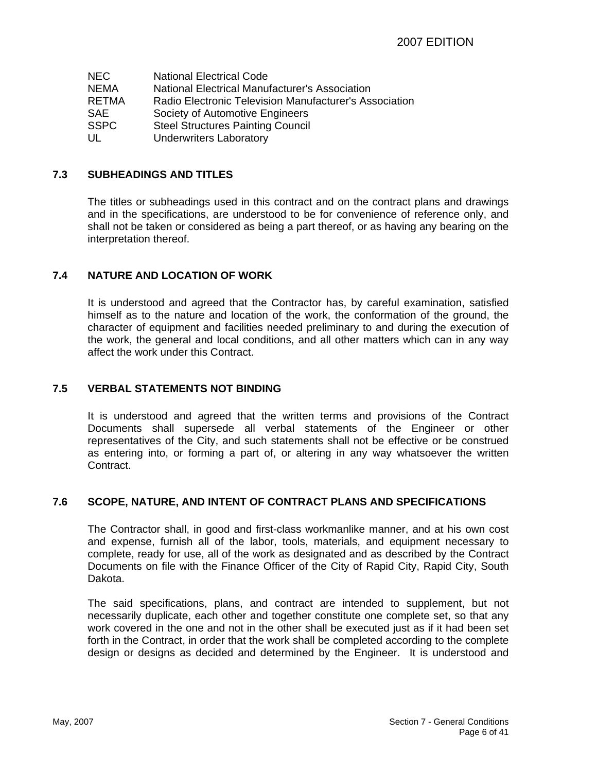| Radio Electronic Television Manufacturer's Association |  |
|--------------------------------------------------------|--|
|                                                        |  |
|                                                        |  |
|                                                        |  |
|                                                        |  |

## **7.3 SUBHEADINGS AND TITLES**

The titles or subheadings used in this contract and on the contract plans and drawings and in the specifications, are understood to be for convenience of reference only, and shall not be taken or considered as being a part thereof, or as having any bearing on the interpretation thereof.

## **7.4 NATURE AND LOCATION OF WORK**

It is understood and agreed that the Contractor has, by careful examination, satisfied himself as to the nature and location of the work, the conformation of the ground, the character of equipment and facilities needed preliminary to and during the execution of the work, the general and local conditions, and all other matters which can in any way affect the work under this Contract.

## **7.5 VERBAL STATEMENTS NOT BINDING**

It is understood and agreed that the written terms and provisions of the Contract Documents shall supersede all verbal statements of the Engineer or other representatives of the City, and such statements shall not be effective or be construed as entering into, or forming a part of, or altering in any way whatsoever the written Contract.

## **7.6 SCOPE, NATURE, AND INTENT OF CONTRACT PLANS AND SPECIFICATIONS**

The Contractor shall, in good and first-class workmanlike manner, and at his own cost and expense, furnish all of the labor, tools, materials, and equipment necessary to complete, ready for use, all of the work as designated and as described by the Contract Documents on file with the Finance Officer of the City of Rapid City, Rapid City, South Dakota.

The said specifications, plans, and contract are intended to supplement, but not necessarily duplicate, each other and together constitute one complete set, so that any work covered in the one and not in the other shall be executed just as if it had been set forth in the Contract, in order that the work shall be completed according to the complete design or designs as decided and determined by the Engineer. It is understood and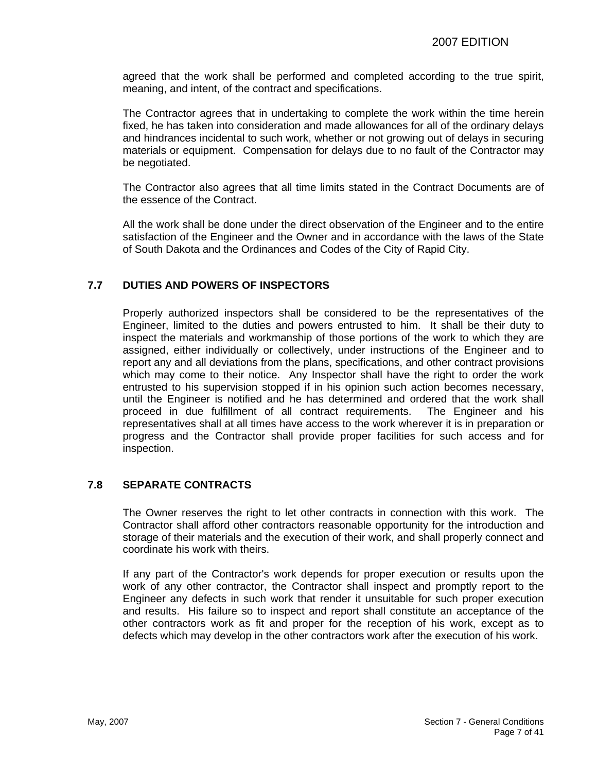agreed that the work shall be performed and completed according to the true spirit, meaning, and intent, of the contract and specifications.

The Contractor agrees that in undertaking to complete the work within the time herein fixed, he has taken into consideration and made allowances for all of the ordinary delays and hindrances incidental to such work, whether or not growing out of delays in securing materials or equipment. Compensation for delays due to no fault of the Contractor may be negotiated.

The Contractor also agrees that all time limits stated in the Contract Documents are of the essence of the Contract.

All the work shall be done under the direct observation of the Engineer and to the entire satisfaction of the Engineer and the Owner and in accordance with the laws of the State of South Dakota and the Ordinances and Codes of the City of Rapid City.

## **7.7 DUTIES AND POWERS OF INSPECTORS**

Properly authorized inspectors shall be considered to be the representatives of the Engineer, limited to the duties and powers entrusted to him. It shall be their duty to inspect the materials and workmanship of those portions of the work to which they are assigned, either individually or collectively, under instructions of the Engineer and to report any and all deviations from the plans, specifications, and other contract provisions which may come to their notice. Any Inspector shall have the right to order the work entrusted to his supervision stopped if in his opinion such action becomes necessary, until the Engineer is notified and he has determined and ordered that the work shall proceed in due fulfillment of all contract requirements. The Engineer and his representatives shall at all times have access to the work wherever it is in preparation or progress and the Contractor shall provide proper facilities for such access and for inspection.

## **7.8 SEPARATE CONTRACTS**

The Owner reserves the right to let other contracts in connection with this work. The Contractor shall afford other contractors reasonable opportunity for the introduction and storage of their materials and the execution of their work, and shall properly connect and coordinate his work with theirs.

If any part of the Contractor's work depends for proper execution or results upon the work of any other contractor, the Contractor shall inspect and promptly report to the Engineer any defects in such work that render it unsuitable for such proper execution and results. His failure so to inspect and report shall constitute an acceptance of the other contractors work as fit and proper for the reception of his work, except as to defects which may develop in the other contractors work after the execution of his work.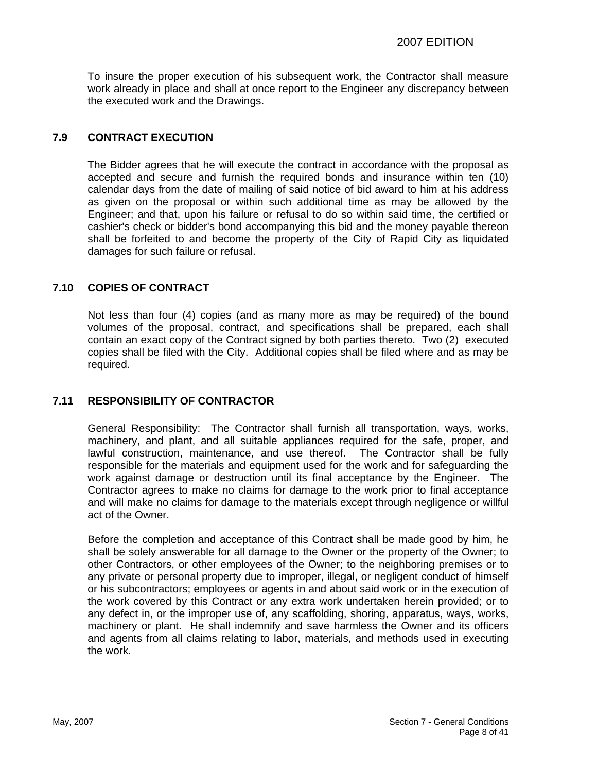To insure the proper execution of his subsequent work, the Contractor shall measure work already in place and shall at once report to the Engineer any discrepancy between the executed work and the Drawings.

## **7.9 CONTRACT EXECUTION**

The Bidder agrees that he will execute the contract in accordance with the proposal as accepted and secure and furnish the required bonds and insurance within ten (10) calendar days from the date of mailing of said notice of bid award to him at his address as given on the proposal or within such additional time as may be allowed by the Engineer; and that, upon his failure or refusal to do so within said time, the certified or cashier's check or bidder's bond accompanying this bid and the money payable thereon shall be forfeited to and become the property of the City of Rapid City as liquidated damages for such failure or refusal.

### **7.10 COPIES OF CONTRACT**

Not less than four (4) copies (and as many more as may be required) of the bound volumes of the proposal, contract, and specifications shall be prepared, each shall contain an exact copy of the Contract signed by both parties thereto. Two (2) executed copies shall be filed with the City. Additional copies shall be filed where and as may be required.

### **7.11 RESPONSIBILITY OF CONTRACTOR**

General Responsibility: The Contractor shall furnish all transportation, ways, works, machinery, and plant, and all suitable appliances required for the safe, proper, and lawful construction, maintenance, and use thereof. The Contractor shall be fully responsible for the materials and equipment used for the work and for safeguarding the work against damage or destruction until its final acceptance by the Engineer. The Contractor agrees to make no claims for damage to the work prior to final acceptance and will make no claims for damage to the materials except through negligence or willful act of the Owner.

Before the completion and acceptance of this Contract shall be made good by him, he shall be solely answerable for all damage to the Owner or the property of the Owner; to other Contractors, or other employees of the Owner; to the neighboring premises or to any private or personal property due to improper, illegal, or negligent conduct of himself or his subcontractors; employees or agents in and about said work or in the execution of the work covered by this Contract or any extra work undertaken herein provided; or to any defect in, or the improper use of, any scaffolding, shoring, apparatus, ways, works, machinery or plant. He shall indemnify and save harmless the Owner and its officers and agents from all claims relating to labor, materials, and methods used in executing the work.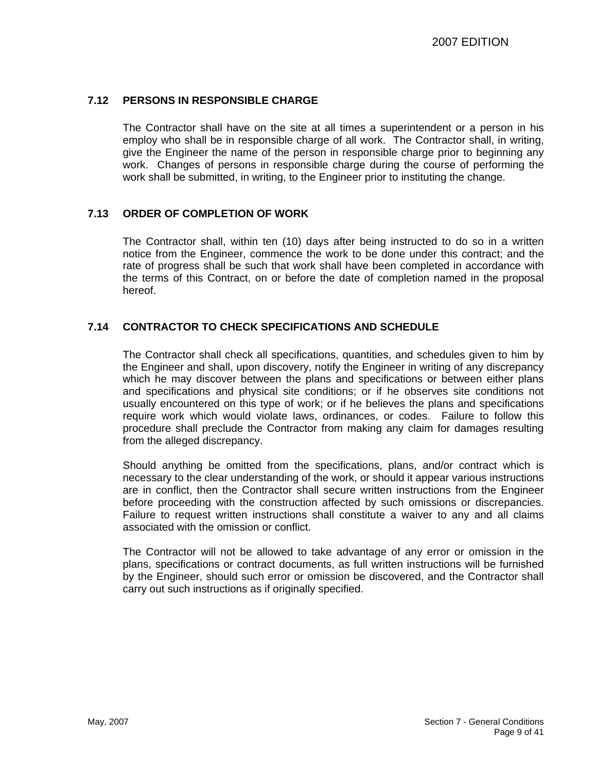## **7.12 PERSONS IN RESPONSIBLE CHARGE**

The Contractor shall have on the site at all times a superintendent or a person in his employ who shall be in responsible charge of all work. The Contractor shall, in writing, give the Engineer the name of the person in responsible charge prior to beginning any work. Changes of persons in responsible charge during the course of performing the work shall be submitted, in writing, to the Engineer prior to instituting the change.

### **7.13 ORDER OF COMPLETION OF WORK**

The Contractor shall, within ten (10) days after being instructed to do so in a written notice from the Engineer, commence the work to be done under this contract; and the rate of progress shall be such that work shall have been completed in accordance with the terms of this Contract, on or before the date of completion named in the proposal hereof.

### **7.14 CONTRACTOR TO CHECK SPECIFICATIONS AND SCHEDULE**

The Contractor shall check all specifications, quantities, and schedules given to him by the Engineer and shall, upon discovery, notify the Engineer in writing of any discrepancy which he may discover between the plans and specifications or between either plans and specifications and physical site conditions; or if he observes site conditions not usually encountered on this type of work; or if he believes the plans and specifications require work which would violate laws, ordinances, or codes. Failure to follow this procedure shall preclude the Contractor from making any claim for damages resulting from the alleged discrepancy.

Should anything be omitted from the specifications, plans, and/or contract which is necessary to the clear understanding of the work, or should it appear various instructions are in conflict, then the Contractor shall secure written instructions from the Engineer before proceeding with the construction affected by such omissions or discrepancies. Failure to request written instructions shall constitute a waiver to any and all claims associated with the omission or conflict.

The Contractor will not be allowed to take advantage of any error or omission in the plans, specifications or contract documents, as full written instructions will be furnished by the Engineer, should such error or omission be discovered, and the Contractor shall carry out such instructions as if originally specified.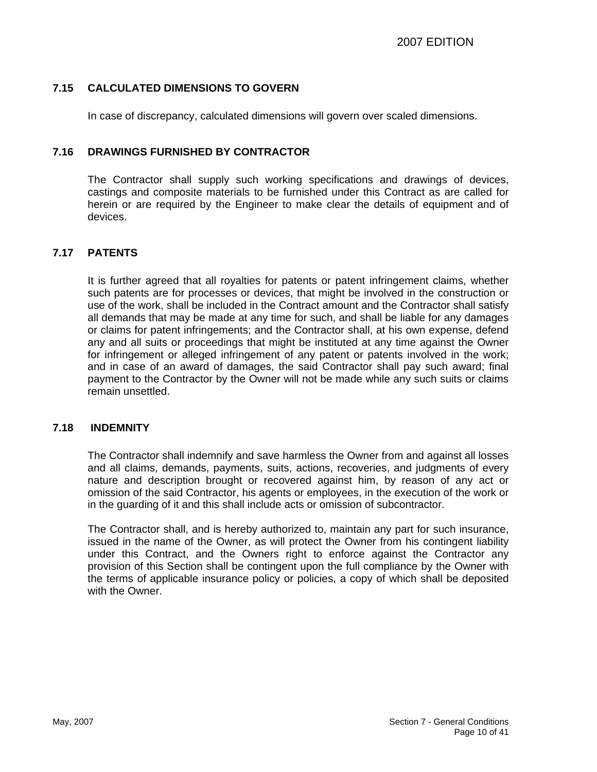## **7.15 CALCULATED DIMENSIONS TO GOVERN**

In case of discrepancy, calculated dimensions will govern over scaled dimensions.

## **7.16 DRAWINGS FURNISHED BY CONTRACTOR**

The Contractor shall supply such working specifications and drawings of devices, castings and composite materials to be furnished under this Contract as are called for herein or are required by the Engineer to make clear the details of equipment and of devices.

## **7.17 PATENTS**

It is further agreed that all royalties for patents or patent infringement claims, whether such patents are for processes or devices, that might be involved in the construction or use of the work, shall be included in the Contract amount and the Contractor shall satisfy all demands that may be made at any time for such, and shall be liable for any damages or claims for patent infringements; and the Contractor shall, at his own expense, defend any and all suits or proceedings that might be instituted at any time against the Owner for infringement or alleged infringement of any patent or patents involved in the work; and in case of an award of damages, the said Contractor shall pay such award; final payment to the Contractor by the Owner will not be made while any such suits or claims remain unsettled.

### **7.18 INDEMNITY**

The Contractor shall indemnify and save harmless the Owner from and against all losses and all claims, demands, payments, suits, actions, recoveries, and judgments of every nature and description brought or recovered against him, by reason of any act or omission of the said Contractor, his agents or employees, in the execution of the work or in the guarding of it and this shall include acts or omission of subcontractor.

The Contractor shall, and is hereby authorized to, maintain any part for such insurance, issued in the name of the Owner, as will protect the Owner from his contingent liability under this Contract, and the Owners right to enforce against the Contractor any provision of this Section shall be contingent upon the full compliance by the Owner with the terms of applicable insurance policy or policies, a copy of which shall be deposited with the Owner.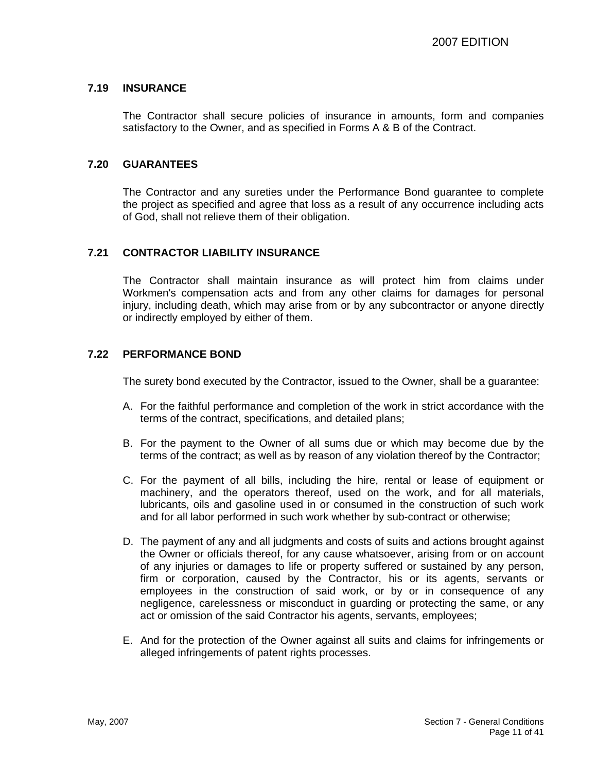### **7.19 INSURANCE**

The Contractor shall secure policies of insurance in amounts, form and companies satisfactory to the Owner, and as specified in Forms A & B of the Contract.

### **7.20 GUARANTEES**

The Contractor and any sureties under the Performance Bond guarantee to complete the project as specified and agree that loss as a result of any occurrence including acts of God, shall not relieve them of their obligation.

### **7.21 CONTRACTOR LIABILITY INSURANCE**

The Contractor shall maintain insurance as will protect him from claims under Workmen's compensation acts and from any other claims for damages for personal injury, including death, which may arise from or by any subcontractor or anyone directly or indirectly employed by either of them.

### **7.22 PERFORMANCE BOND**

The surety bond executed by the Contractor, issued to the Owner, shall be a guarantee:

- A. For the faithful performance and completion of the work in strict accordance with the terms of the contract, specifications, and detailed plans;
- B. For the payment to the Owner of all sums due or which may become due by the terms of the contract; as well as by reason of any violation thereof by the Contractor;
- C. For the payment of all bills, including the hire, rental or lease of equipment or machinery, and the operators thereof, used on the work, and for all materials, lubricants, oils and gasoline used in or consumed in the construction of such work and for all labor performed in such work whether by sub-contract or otherwise;
- D. The payment of any and all judgments and costs of suits and actions brought against the Owner or officials thereof, for any cause whatsoever, arising from or on account of any injuries or damages to life or property suffered or sustained by any person, firm or corporation, caused by the Contractor, his or its agents, servants or employees in the construction of said work, or by or in consequence of any negligence, carelessness or misconduct in guarding or protecting the same, or any act or omission of the said Contractor his agents, servants, employees;
- E. And for the protection of the Owner against all suits and claims for infringements or alleged infringements of patent rights processes.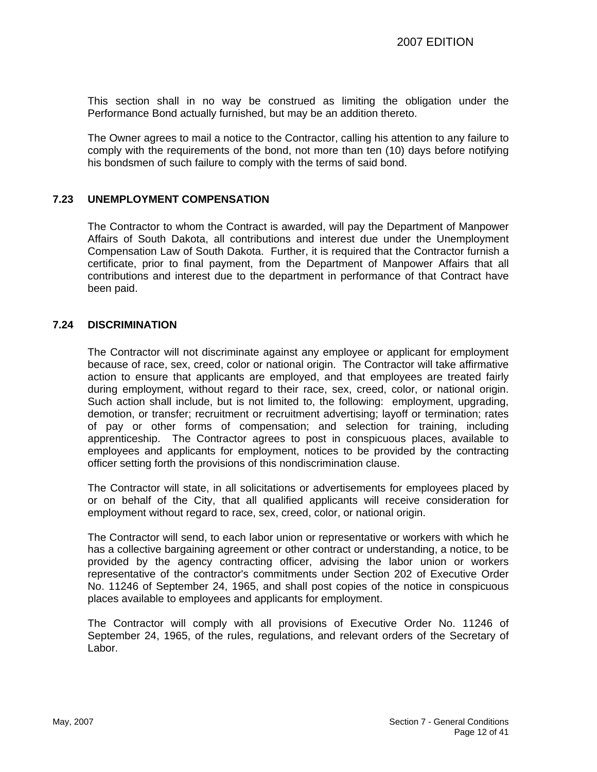This section shall in no way be construed as limiting the obligation under the Performance Bond actually furnished, but may be an addition thereto.

The Owner agrees to mail a notice to the Contractor, calling his attention to any failure to comply with the requirements of the bond, not more than ten (10) days before notifying his bondsmen of such failure to comply with the terms of said bond.

### **7.23 UNEMPLOYMENT COMPENSATION**

The Contractor to whom the Contract is awarded, will pay the Department of Manpower Affairs of South Dakota, all contributions and interest due under the Unemployment Compensation Law of South Dakota. Further, it is required that the Contractor furnish a certificate, prior to final payment, from the Department of Manpower Affairs that all contributions and interest due to the department in performance of that Contract have been paid.

### **7.24 DISCRIMINATION**

The Contractor will not discriminate against any employee or applicant for employment because of race, sex, creed, color or national origin. The Contractor will take affirmative action to ensure that applicants are employed, and that employees are treated fairly during employment, without regard to their race, sex, creed, color, or national origin. Such action shall include, but is not limited to, the following: employment, upgrading, demotion, or transfer; recruitment or recruitment advertising; layoff or termination; rates of pay or other forms of compensation; and selection for training, including apprenticeship. The Contractor agrees to post in conspicuous places, available to employees and applicants for employment, notices to be provided by the contracting officer setting forth the provisions of this nondiscrimination clause.

The Contractor will state, in all solicitations or advertisements for employees placed by or on behalf of the City, that all qualified applicants will receive consideration for employment without regard to race, sex, creed, color, or national origin.

The Contractor will send, to each labor union or representative or workers with which he has a collective bargaining agreement or other contract or understanding, a notice, to be provided by the agency contracting officer, advising the labor union or workers representative of the contractor's commitments under Section 202 of Executive Order No. 11246 of September 24, 1965, and shall post copies of the notice in conspicuous places available to employees and applicants for employment.

The Contractor will comply with all provisions of Executive Order No. 11246 of September 24, 1965, of the rules, regulations, and relevant orders of the Secretary of Labor.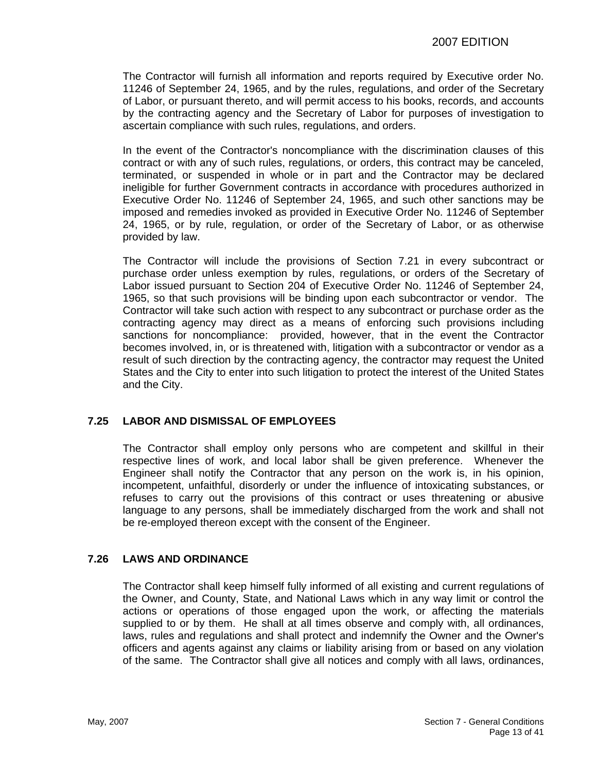The Contractor will furnish all information and reports required by Executive order No. 11246 of September 24, 1965, and by the rules, regulations, and order of the Secretary of Labor, or pursuant thereto, and will permit access to his books, records, and accounts by the contracting agency and the Secretary of Labor for purposes of investigation to ascertain compliance with such rules, regulations, and orders.

In the event of the Contractor's noncompliance with the discrimination clauses of this contract or with any of such rules, regulations, or orders, this contract may be canceled, terminated, or suspended in whole or in part and the Contractor may be declared ineligible for further Government contracts in accordance with procedures authorized in Executive Order No. 11246 of September 24, 1965, and such other sanctions may be imposed and remedies invoked as provided in Executive Order No. 11246 of September 24, 1965, or by rule, regulation, or order of the Secretary of Labor, or as otherwise provided by law.

The Contractor will include the provisions of Section 7.21 in every subcontract or purchase order unless exemption by rules, regulations, or orders of the Secretary of Labor issued pursuant to Section 204 of Executive Order No. 11246 of September 24, 1965, so that such provisions will be binding upon each subcontractor or vendor. The Contractor will take such action with respect to any subcontract or purchase order as the contracting agency may direct as a means of enforcing such provisions including sanctions for noncompliance: provided, however, that in the event the Contractor becomes involved, in, or is threatened with, litigation with a subcontractor or vendor as a result of such direction by the contracting agency, the contractor may request the United States and the City to enter into such litigation to protect the interest of the United States and the City.

## **7.25 LABOR AND DISMISSAL OF EMPLOYEES**

The Contractor shall employ only persons who are competent and skillful in their respective lines of work, and local labor shall be given preference. Whenever the Engineer shall notify the Contractor that any person on the work is, in his opinion, incompetent, unfaithful, disorderly or under the influence of intoxicating substances, or refuses to carry out the provisions of this contract or uses threatening or abusive language to any persons, shall be immediately discharged from the work and shall not be re-employed thereon except with the consent of the Engineer.

## **7.26 LAWS AND ORDINANCE**

The Contractor shall keep himself fully informed of all existing and current regulations of the Owner, and County, State, and National Laws which in any way limit or control the actions or operations of those engaged upon the work, or affecting the materials supplied to or by them. He shall at all times observe and comply with, all ordinances, laws, rules and regulations and shall protect and indemnify the Owner and the Owner's officers and agents against any claims or liability arising from or based on any violation of the same. The Contractor shall give all notices and comply with all laws, ordinances,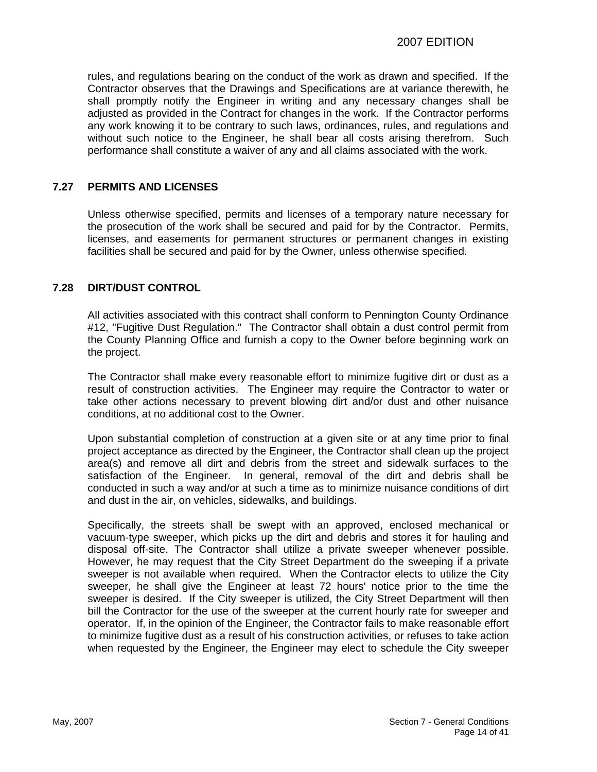rules, and regulations bearing on the conduct of the work as drawn and specified. If the Contractor observes that the Drawings and Specifications are at variance therewith, he shall promptly notify the Engineer in writing and any necessary changes shall be adjusted as provided in the Contract for changes in the work. If the Contractor performs any work knowing it to be contrary to such laws, ordinances, rules, and regulations and without such notice to the Engineer, he shall bear all costs arising therefrom. Such performance shall constitute a waiver of any and all claims associated with the work.

## **7.27 PERMITS AND LICENSES**

Unless otherwise specified, permits and licenses of a temporary nature necessary for the prosecution of the work shall be secured and paid for by the Contractor. Permits, licenses, and easements for permanent structures or permanent changes in existing facilities shall be secured and paid for by the Owner, unless otherwise specified.

### **7.28 DIRT/DUST CONTROL**

All activities associated with this contract shall conform to Pennington County Ordinance #12, "Fugitive Dust Regulation." The Contractor shall obtain a dust control permit from the County Planning Office and furnish a copy to the Owner before beginning work on the project.

The Contractor shall make every reasonable effort to minimize fugitive dirt or dust as a result of construction activities. The Engineer may require the Contractor to water or take other actions necessary to prevent blowing dirt and/or dust and other nuisance conditions, at no additional cost to the Owner.

Upon substantial completion of construction at a given site or at any time prior to final project acceptance as directed by the Engineer, the Contractor shall clean up the project area(s) and remove all dirt and debris from the street and sidewalk surfaces to the satisfaction of the Engineer. In general, removal of the dirt and debris shall be conducted in such a way and/or at such a time as to minimize nuisance conditions of dirt and dust in the air, on vehicles, sidewalks, and buildings.

Specifically, the streets shall be swept with an approved, enclosed mechanical or vacuum-type sweeper, which picks up the dirt and debris and stores it for hauling and disposal off-site. The Contractor shall utilize a private sweeper whenever possible. However, he may request that the City Street Department do the sweeping if a private sweeper is not available when required. When the Contractor elects to utilize the City sweeper, he shall give the Engineer at least 72 hours' notice prior to the time the sweeper is desired. If the City sweeper is utilized, the City Street Department will then bill the Contractor for the use of the sweeper at the current hourly rate for sweeper and operator. If, in the opinion of the Engineer, the Contractor fails to make reasonable effort to minimize fugitive dust as a result of his construction activities, or refuses to take action when requested by the Engineer, the Engineer may elect to schedule the City sweeper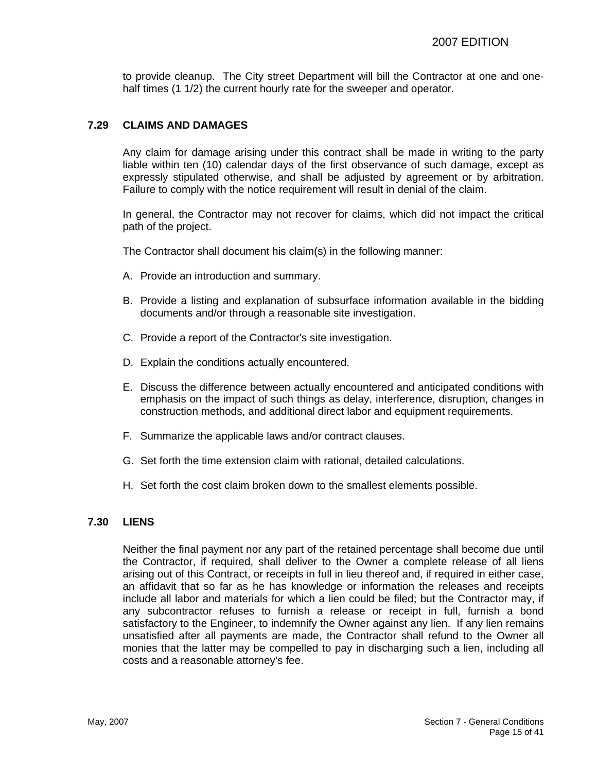to provide cleanup. The City street Department will bill the Contractor at one and onehalf times (1 1/2) the current hourly rate for the sweeper and operator.

## **7.29 CLAIMS AND DAMAGES**

Any claim for damage arising under this contract shall be made in writing to the party liable within ten (10) calendar days of the first observance of such damage, except as expressly stipulated otherwise, and shall be adjusted by agreement or by arbitration. Failure to comply with the notice requirement will result in denial of the claim.

In general, the Contractor may not recover for claims, which did not impact the critical path of the project.

The Contractor shall document his claim(s) in the following manner:

- A. Provide an introduction and summary.
- B. Provide a listing and explanation of subsurface information available in the bidding documents and/or through a reasonable site investigation.
- C. Provide a report of the Contractor's site investigation.
- D. Explain the conditions actually encountered.
- E. Discuss the difference between actually encountered and anticipated conditions with emphasis on the impact of such things as delay, interference, disruption, changes in construction methods, and additional direct labor and equipment requirements.
- F. Summarize the applicable laws and/or contract clauses.
- G. Set forth the time extension claim with rational, detailed calculations.
- H. Set forth the cost claim broken down to the smallest elements possible.

### **7.30 LIENS**

Neither the final payment nor any part of the retained percentage shall become due until the Contractor, if required, shall deliver to the Owner a complete release of all liens arising out of this Contract, or receipts in full in lieu thereof and, if required in either case, an affidavit that so far as he has knowledge or information the releases and receipts include all labor and materials for which a lien could be filed; but the Contractor may, if any subcontractor refuses to furnish a release or receipt in full, furnish a bond satisfactory to the Engineer, to indemnify the Owner against any lien. If any lien remains unsatisfied after all payments are made, the Contractor shall refund to the Owner all monies that the latter may be compelled to pay in discharging such a lien, including all costs and a reasonable attorney's fee.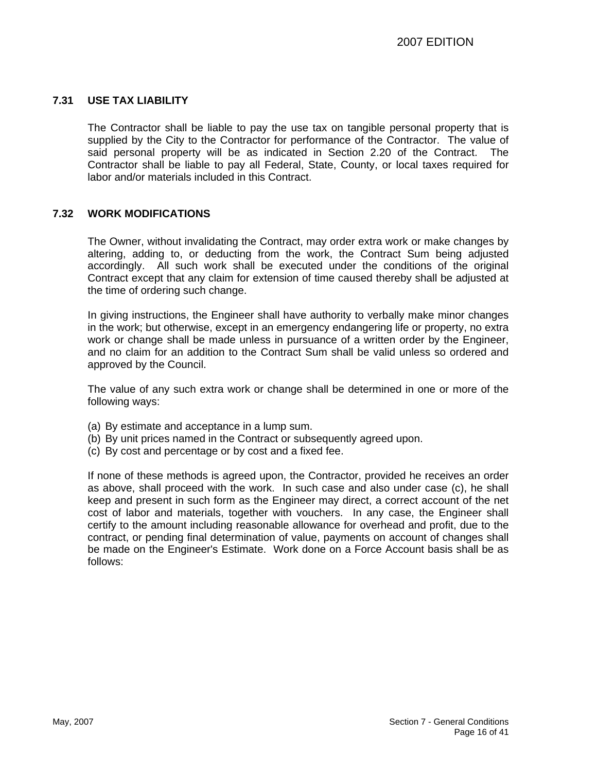## **7.31 USE TAX LIABILITY**

The Contractor shall be liable to pay the use tax on tangible personal property that is supplied by the City to the Contractor for performance of the Contractor. The value of said personal property will be as indicated in Section 2.20 of the Contract. The Contractor shall be liable to pay all Federal, State, County, or local taxes required for labor and/or materials included in this Contract.

### **7.32 WORK MODIFICATIONS**

The Owner, without invalidating the Contract, may order extra work or make changes by altering, adding to, or deducting from the work, the Contract Sum being adjusted accordingly. All such work shall be executed under the conditions of the original Contract except that any claim for extension of time caused thereby shall be adjusted at the time of ordering such change.

In giving instructions, the Engineer shall have authority to verbally make minor changes in the work; but otherwise, except in an emergency endangering life or property, no extra work or change shall be made unless in pursuance of a written order by the Engineer, and no claim for an addition to the Contract Sum shall be valid unless so ordered and approved by the Council.

The value of any such extra work or change shall be determined in one or more of the following ways:

- (a) By estimate and acceptance in a lump sum.
- (b) By unit prices named in the Contract or subsequently agreed upon.
- (c) By cost and percentage or by cost and a fixed fee.

If none of these methods is agreed upon, the Contractor, provided he receives an order as above, shall proceed with the work. In such case and also under case (c), he shall keep and present in such form as the Engineer may direct, a correct account of the net cost of labor and materials, together with vouchers. In any case, the Engineer shall certify to the amount including reasonable allowance for overhead and profit, due to the contract, or pending final determination of value, payments on account of changes shall be made on the Engineer's Estimate. Work done on a Force Account basis shall be as follows: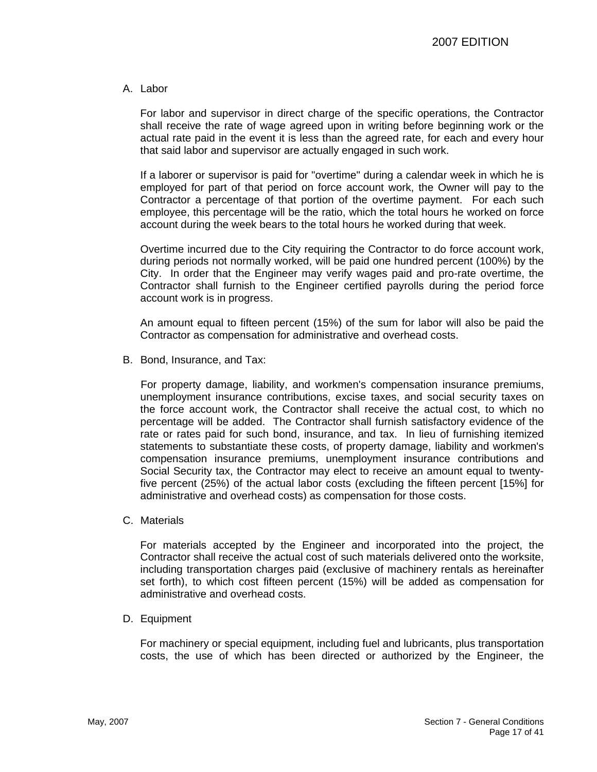### A. Labor

For labor and supervisor in direct charge of the specific operations, the Contractor shall receive the rate of wage agreed upon in writing before beginning work or the actual rate paid in the event it is less than the agreed rate, for each and every hour that said labor and supervisor are actually engaged in such work.

If a laborer or supervisor is paid for "overtime" during a calendar week in which he is employed for part of that period on force account work, the Owner will pay to the Contractor a percentage of that portion of the overtime payment. For each such employee, this percentage will be the ratio, which the total hours he worked on force account during the week bears to the total hours he worked during that week.

Overtime incurred due to the City requiring the Contractor to do force account work, during periods not normally worked, will be paid one hundred percent (100%) by the City. In order that the Engineer may verify wages paid and pro-rate overtime, the Contractor shall furnish to the Engineer certified payrolls during the period force account work is in progress.

An amount equal to fifteen percent (15%) of the sum for labor will also be paid the Contractor as compensation for administrative and overhead costs.

B. Bond, Insurance, and Tax:

 For property damage, liability, and workmen's compensation insurance premiums, unemployment insurance contributions, excise taxes, and social security taxes on the force account work, the Contractor shall receive the actual cost, to which no percentage will be added. The Contractor shall furnish satisfactory evidence of the rate or rates paid for such bond, insurance, and tax. In lieu of furnishing itemized statements to substantiate these costs, of property damage, liability and workmen's compensation insurance premiums, unemployment insurance contributions and Social Security tax, the Contractor may elect to receive an amount equal to twentyfive percent (25%) of the actual labor costs (excluding the fifteen percent [15%] for administrative and overhead costs) as compensation for those costs.

C. Materials

For materials accepted by the Engineer and incorporated into the project, the Contractor shall receive the actual cost of such materials delivered onto the worksite, including transportation charges paid (exclusive of machinery rentals as hereinafter set forth), to which cost fifteen percent (15%) will be added as compensation for administrative and overhead costs.

D. Equipment

For machinery or special equipment, including fuel and lubricants, plus transportation costs, the use of which has been directed or authorized by the Engineer, the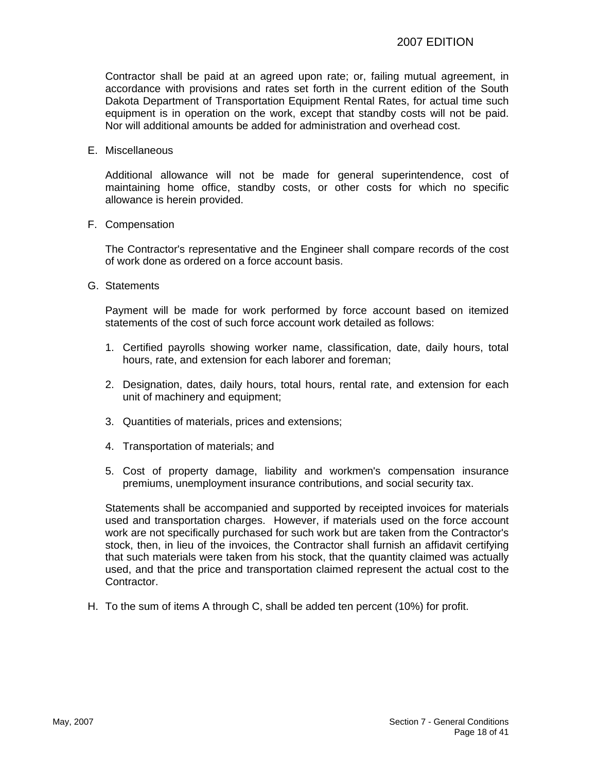Contractor shall be paid at an agreed upon rate; or, failing mutual agreement, in accordance with provisions and rates set forth in the current edition of the South Dakota Department of Transportation Equipment Rental Rates, for actual time such equipment is in operation on the work, except that standby costs will not be paid. Nor will additional amounts be added for administration and overhead cost.

E. Miscellaneous

Additional allowance will not be made for general superintendence, cost of maintaining home office, standby costs, or other costs for which no specific allowance is herein provided.

F. Compensation

The Contractor's representative and the Engineer shall compare records of the cost of work done as ordered on a force account basis.

G. Statements

Payment will be made for work performed by force account based on itemized statements of the cost of such force account work detailed as follows:

- 1. Certified payrolls showing worker name, classification, date, daily hours, total hours, rate, and extension for each laborer and foreman;
- 2. Designation, dates, daily hours, total hours, rental rate, and extension for each unit of machinery and equipment;
- 3. Quantities of materials, prices and extensions;
- 4. Transportation of materials; and
- 5. Cost of property damage, liability and workmen's compensation insurance premiums, unemployment insurance contributions, and social security tax.

Statements shall be accompanied and supported by receipted invoices for materials used and transportation charges. However, if materials used on the force account work are not specifically purchased for such work but are taken from the Contractor's stock, then, in lieu of the invoices, the Contractor shall furnish an affidavit certifying that such materials were taken from his stock, that the quantity claimed was actually used, and that the price and transportation claimed represent the actual cost to the Contractor.

H. To the sum of items A through C, shall be added ten percent (10%) for profit.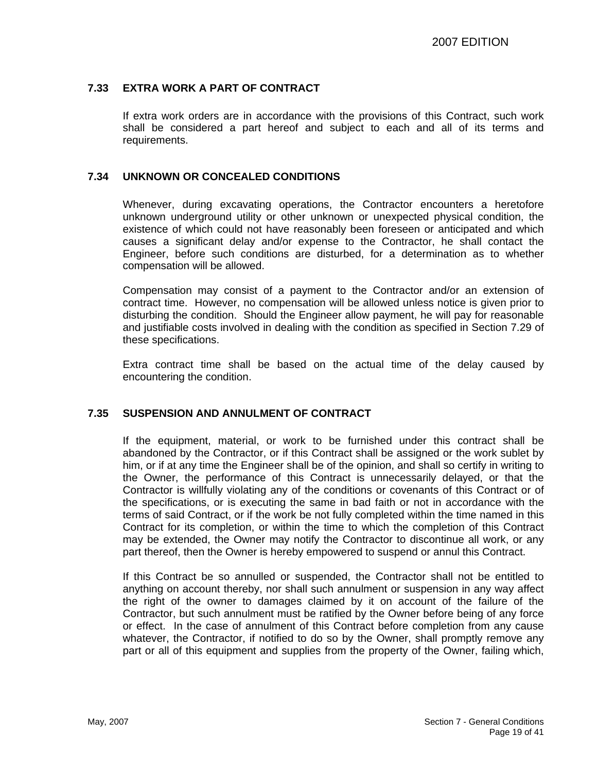### **7.33 EXTRA WORK A PART OF CONTRACT**

If extra work orders are in accordance with the provisions of this Contract, such work shall be considered a part hereof and subject to each and all of its terms and requirements.

### **7.34 UNKNOWN OR CONCEALED CONDITIONS**

Whenever, during excavating operations, the Contractor encounters a heretofore unknown underground utility or other unknown or unexpected physical condition, the existence of which could not have reasonably been foreseen or anticipated and which causes a significant delay and/or expense to the Contractor, he shall contact the Engineer, before such conditions are disturbed, for a determination as to whether compensation will be allowed.

Compensation may consist of a payment to the Contractor and/or an extension of contract time. However, no compensation will be allowed unless notice is given prior to disturbing the condition. Should the Engineer allow payment, he will pay for reasonable and justifiable costs involved in dealing with the condition as specified in Section 7.29 of these specifications.

Extra contract time shall be based on the actual time of the delay caused by encountering the condition.

## **7.35 SUSPENSION AND ANNULMENT OF CONTRACT**

If the equipment, material, or work to be furnished under this contract shall be abandoned by the Contractor, or if this Contract shall be assigned or the work sublet by him, or if at any time the Engineer shall be of the opinion, and shall so certify in writing to the Owner, the performance of this Contract is unnecessarily delayed, or that the Contractor is willfully violating any of the conditions or covenants of this Contract or of the specifications, or is executing the same in bad faith or not in accordance with the terms of said Contract, or if the work be not fully completed within the time named in this Contract for its completion, or within the time to which the completion of this Contract may be extended, the Owner may notify the Contractor to discontinue all work, or any part thereof, then the Owner is hereby empowered to suspend or annul this Contract.

If this Contract be so annulled or suspended, the Contractor shall not be entitled to anything on account thereby, nor shall such annulment or suspension in any way affect the right of the owner to damages claimed by it on account of the failure of the Contractor, but such annulment must be ratified by the Owner before being of any force or effect. In the case of annulment of this Contract before completion from any cause whatever, the Contractor, if notified to do so by the Owner, shall promptly remove any part or all of this equipment and supplies from the property of the Owner, failing which,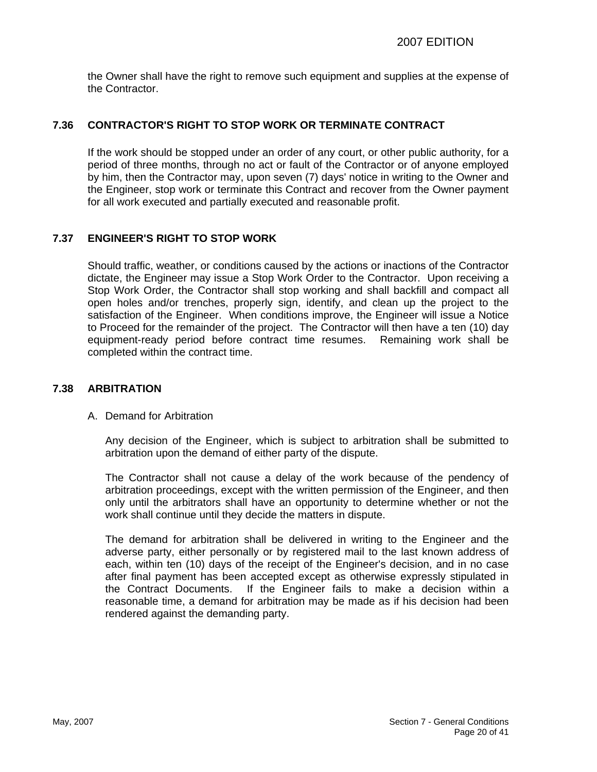the Owner shall have the right to remove such equipment and supplies at the expense of the Contractor.

## **7.36 CONTRACTOR'S RIGHT TO STOP WORK OR TERMINATE CONTRACT**

If the work should be stopped under an order of any court, or other public authority, for a period of three months, through no act or fault of the Contractor or of anyone employed by him, then the Contractor may, upon seven (7) days' notice in writing to the Owner and the Engineer, stop work or terminate this Contract and recover from the Owner payment for all work executed and partially executed and reasonable profit.

## **7.37 ENGINEER'S RIGHT TO STOP WORK**

Should traffic, weather, or conditions caused by the actions or inactions of the Contractor dictate, the Engineer may issue a Stop Work Order to the Contractor. Upon receiving a Stop Work Order, the Contractor shall stop working and shall backfill and compact all open holes and/or trenches, properly sign, identify, and clean up the project to the satisfaction of the Engineer. When conditions improve, the Engineer will issue a Notice to Proceed for the remainder of the project. The Contractor will then have a ten (10) day equipment-ready period before contract time resumes. Remaining work shall be completed within the contract time.

## **7.38 ARBITRATION**

### A. Demand for Arbitration

Any decision of the Engineer, which is subject to arbitration shall be submitted to arbitration upon the demand of either party of the dispute.

The Contractor shall not cause a delay of the work because of the pendency of arbitration proceedings, except with the written permission of the Engineer, and then only until the arbitrators shall have an opportunity to determine whether or not the work shall continue until they decide the matters in dispute.

The demand for arbitration shall be delivered in writing to the Engineer and the adverse party, either personally or by registered mail to the last known address of each, within ten (10) days of the receipt of the Engineer's decision, and in no case after final payment has been accepted except as otherwise expressly stipulated in the Contract Documents. If the Engineer fails to make a decision within a reasonable time, a demand for arbitration may be made as if his decision had been rendered against the demanding party.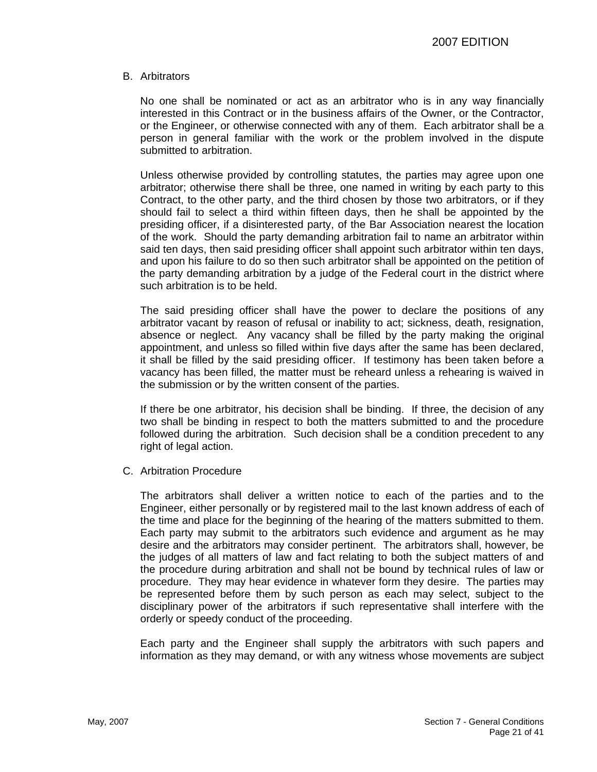### B. Arbitrators

No one shall be nominated or act as an arbitrator who is in any way financially interested in this Contract or in the business affairs of the Owner, or the Contractor, or the Engineer, or otherwise connected with any of them. Each arbitrator shall be a person in general familiar with the work or the problem involved in the dispute submitted to arbitration.

Unless otherwise provided by controlling statutes, the parties may agree upon one arbitrator; otherwise there shall be three, one named in writing by each party to this Contract, to the other party, and the third chosen by those two arbitrators, or if they should fail to select a third within fifteen days, then he shall be appointed by the presiding officer, if a disinterested party, of the Bar Association nearest the location of the work. Should the party demanding arbitration fail to name an arbitrator within said ten days, then said presiding officer shall appoint such arbitrator within ten days, and upon his failure to do so then such arbitrator shall be appointed on the petition of the party demanding arbitration by a judge of the Federal court in the district where such arbitration is to be held.

The said presiding officer shall have the power to declare the positions of any arbitrator vacant by reason of refusal or inability to act; sickness, death, resignation, absence or neglect. Any vacancy shall be filled by the party making the original appointment, and unless so filled within five days after the same has been declared, it shall be filled by the said presiding officer. If testimony has been taken before a vacancy has been filled, the matter must be reheard unless a rehearing is waived in the submission or by the written consent of the parties.

If there be one arbitrator, his decision shall be binding. If three, the decision of any two shall be binding in respect to both the matters submitted to and the procedure followed during the arbitration. Such decision shall be a condition precedent to any right of legal action.

C. Arbitration Procedure

The arbitrators shall deliver a written notice to each of the parties and to the Engineer, either personally or by registered mail to the last known address of each of the time and place for the beginning of the hearing of the matters submitted to them. Each party may submit to the arbitrators such evidence and argument as he may desire and the arbitrators may consider pertinent. The arbitrators shall, however, be the judges of all matters of law and fact relating to both the subject matters of and the procedure during arbitration and shall not be bound by technical rules of law or procedure. They may hear evidence in whatever form they desire. The parties may be represented before them by such person as each may select, subject to the disciplinary power of the arbitrators if such representative shall interfere with the orderly or speedy conduct of the proceeding.

Each party and the Engineer shall supply the arbitrators with such papers and information as they may demand, or with any witness whose movements are subject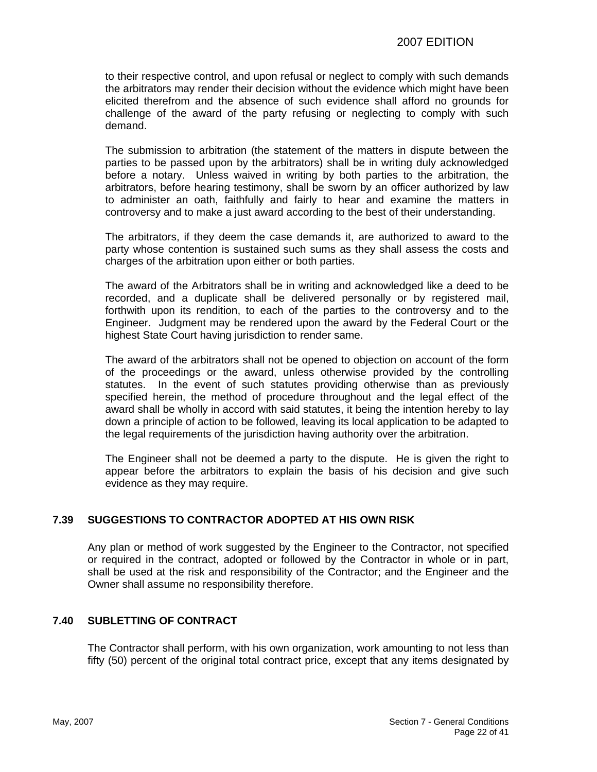to their respective control, and upon refusal or neglect to comply with such demands the arbitrators may render their decision without the evidence which might have been elicited therefrom and the absence of such evidence shall afford no grounds for challenge of the award of the party refusing or neglecting to comply with such demand.

The submission to arbitration (the statement of the matters in dispute between the parties to be passed upon by the arbitrators) shall be in writing duly acknowledged before a notary. Unless waived in writing by both parties to the arbitration, the arbitrators, before hearing testimony, shall be sworn by an officer authorized by law to administer an oath, faithfully and fairly to hear and examine the matters in controversy and to make a just award according to the best of their understanding.

The arbitrators, if they deem the case demands it, are authorized to award to the party whose contention is sustained such sums as they shall assess the costs and charges of the arbitration upon either or both parties.

The award of the Arbitrators shall be in writing and acknowledged like a deed to be recorded, and a duplicate shall be delivered personally or by registered mail, forthwith upon its rendition, to each of the parties to the controversy and to the Engineer. Judgment may be rendered upon the award by the Federal Court or the highest State Court having jurisdiction to render same.

The award of the arbitrators shall not be opened to objection on account of the form of the proceedings or the award, unless otherwise provided by the controlling statutes. In the event of such statutes providing otherwise than as previously specified herein, the method of procedure throughout and the legal effect of the award shall be wholly in accord with said statutes, it being the intention hereby to lay down a principle of action to be followed, leaving its local application to be adapted to the legal requirements of the jurisdiction having authority over the arbitration.

The Engineer shall not be deemed a party to the dispute. He is given the right to appear before the arbitrators to explain the basis of his decision and give such evidence as they may require.

## **7.39 SUGGESTIONS TO CONTRACTOR ADOPTED AT HIS OWN RISK**

Any plan or method of work suggested by the Engineer to the Contractor, not specified or required in the contract, adopted or followed by the Contractor in whole or in part, shall be used at the risk and responsibility of the Contractor; and the Engineer and the Owner shall assume no responsibility therefore.

## **7.40 SUBLETTING OF CONTRACT**

The Contractor shall perform, with his own organization, work amounting to not less than fifty (50) percent of the original total contract price, except that any items designated by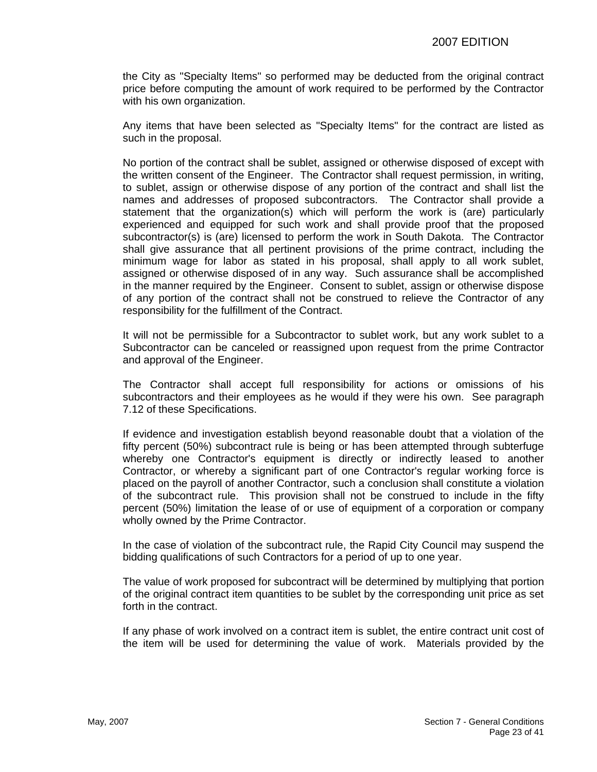the City as "Specialty Items" so performed may be deducted from the original contract price before computing the amount of work required to be performed by the Contractor with his own organization.

Any items that have been selected as "Specialty Items" for the contract are listed as such in the proposal.

No portion of the contract shall be sublet, assigned or otherwise disposed of except with the written consent of the Engineer. The Contractor shall request permission, in writing, to sublet, assign or otherwise dispose of any portion of the contract and shall list the names and addresses of proposed subcontractors. The Contractor shall provide a statement that the organization(s) which will perform the work is (are) particularly experienced and equipped for such work and shall provide proof that the proposed subcontractor(s) is (are) licensed to perform the work in South Dakota. The Contractor shall give assurance that all pertinent provisions of the prime contract, including the minimum wage for labor as stated in his proposal, shall apply to all work sublet, assigned or otherwise disposed of in any way. Such assurance shall be accomplished in the manner required by the Engineer. Consent to sublet, assign or otherwise dispose of any portion of the contract shall not be construed to relieve the Contractor of any responsibility for the fulfillment of the Contract.

It will not be permissible for a Subcontractor to sublet work, but any work sublet to a Subcontractor can be canceled or reassigned upon request from the prime Contractor and approval of the Engineer.

The Contractor shall accept full responsibility for actions or omissions of his subcontractors and their employees as he would if they were his own. See paragraph 7.12 of these Specifications.

If evidence and investigation establish beyond reasonable doubt that a violation of the fifty percent (50%) subcontract rule is being or has been attempted through subterfuge whereby one Contractor's equipment is directly or indirectly leased to another Contractor, or whereby a significant part of one Contractor's regular working force is placed on the payroll of another Contractor, such a conclusion shall constitute a violation of the subcontract rule. This provision shall not be construed to include in the fifty percent (50%) limitation the lease of or use of equipment of a corporation or company wholly owned by the Prime Contractor.

In the case of violation of the subcontract rule, the Rapid City Council may suspend the bidding qualifications of such Contractors for a period of up to one year.

The value of work proposed for subcontract will be determined by multiplying that portion of the original contract item quantities to be sublet by the corresponding unit price as set forth in the contract.

If any phase of work involved on a contract item is sublet, the entire contract unit cost of the item will be used for determining the value of work. Materials provided by the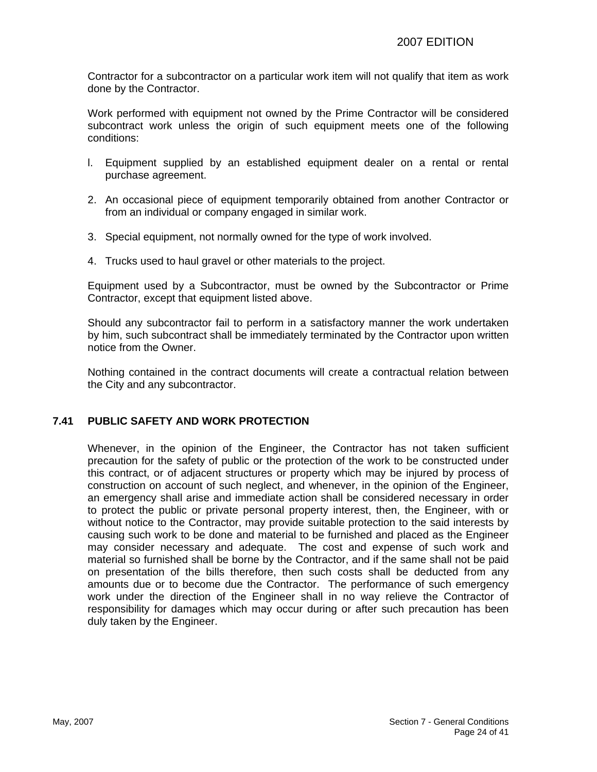Contractor for a subcontractor on a particular work item will not qualify that item as work done by the Contractor.

Work performed with equipment not owned by the Prime Contractor will be considered subcontract work unless the origin of such equipment meets one of the following conditions:

- l. Equipment supplied by an established equipment dealer on a rental or rental purchase agreement.
- 2. An occasional piece of equipment temporarily obtained from another Contractor or from an individual or company engaged in similar work.
- 3. Special equipment, not normally owned for the type of work involved.
- 4. Trucks used to haul gravel or other materials to the project.

Equipment used by a Subcontractor, must be owned by the Subcontractor or Prime Contractor, except that equipment listed above.

Should any subcontractor fail to perform in a satisfactory manner the work undertaken by him, such subcontract shall be immediately terminated by the Contractor upon written notice from the Owner.

Nothing contained in the contract documents will create a contractual relation between the City and any subcontractor.

## **7.41 PUBLIC SAFETY AND WORK PROTECTION**

Whenever, in the opinion of the Engineer, the Contractor has not taken sufficient precaution for the safety of public or the protection of the work to be constructed under this contract, or of adjacent structures or property which may be injured by process of construction on account of such neglect, and whenever, in the opinion of the Engineer, an emergency shall arise and immediate action shall be considered necessary in order to protect the public or private personal property interest, then, the Engineer, with or without notice to the Contractor, may provide suitable protection to the said interests by causing such work to be done and material to be furnished and placed as the Engineer may consider necessary and adequate. The cost and expense of such work and material so furnished shall be borne by the Contractor, and if the same shall not be paid on presentation of the bills therefore, then such costs shall be deducted from any amounts due or to become due the Contractor. The performance of such emergency work under the direction of the Engineer shall in no way relieve the Contractor of responsibility for damages which may occur during or after such precaution has been duly taken by the Engineer.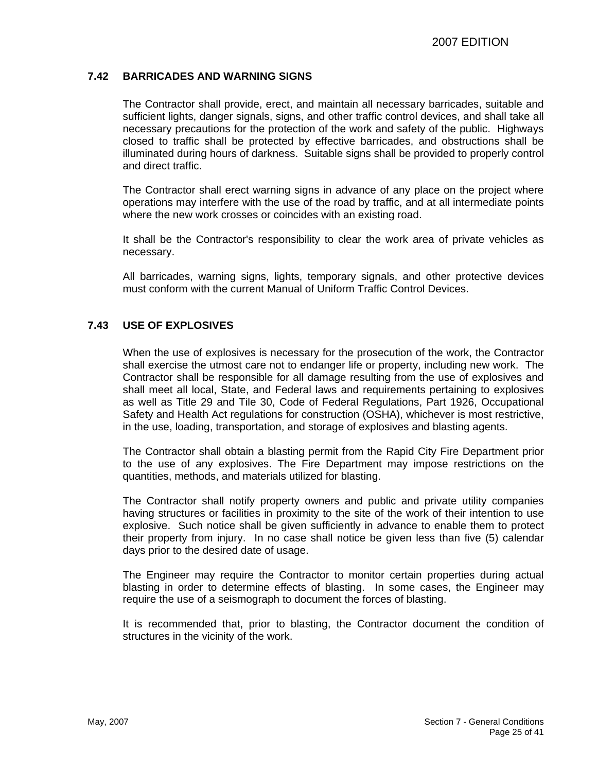## **7.42 BARRICADES AND WARNING SIGNS**

The Contractor shall provide, erect, and maintain all necessary barricades, suitable and sufficient lights, danger signals, signs, and other traffic control devices, and shall take all necessary precautions for the protection of the work and safety of the public. Highways closed to traffic shall be protected by effective barricades, and obstructions shall be illuminated during hours of darkness. Suitable signs shall be provided to properly control and direct traffic.

The Contractor shall erect warning signs in advance of any place on the project where operations may interfere with the use of the road by traffic, and at all intermediate points where the new work crosses or coincides with an existing road.

It shall be the Contractor's responsibility to clear the work area of private vehicles as necessary.

All barricades, warning signs, lights, temporary signals, and other protective devices must conform with the current Manual of Uniform Traffic Control Devices.

### **7.43 USE OF EXPLOSIVES**

When the use of explosives is necessary for the prosecution of the work, the Contractor shall exercise the utmost care not to endanger life or property, including new work. The Contractor shall be responsible for all damage resulting from the use of explosives and shall meet all local, State, and Federal laws and requirements pertaining to explosives as well as Title 29 and Tile 30, Code of Federal Regulations, Part 1926, Occupational Safety and Health Act regulations for construction (OSHA), whichever is most restrictive, in the use, loading, transportation, and storage of explosives and blasting agents.

The Contractor shall obtain a blasting permit from the Rapid City Fire Department prior to the use of any explosives. The Fire Department may impose restrictions on the quantities, methods, and materials utilized for blasting.

The Contractor shall notify property owners and public and private utility companies having structures or facilities in proximity to the site of the work of their intention to use explosive. Such notice shall be given sufficiently in advance to enable them to protect their property from injury. In no case shall notice be given less than five (5) calendar days prior to the desired date of usage.

The Engineer may require the Contractor to monitor certain properties during actual blasting in order to determine effects of blasting. In some cases, the Engineer may require the use of a seismograph to document the forces of blasting.

It is recommended that, prior to blasting, the Contractor document the condition of structures in the vicinity of the work.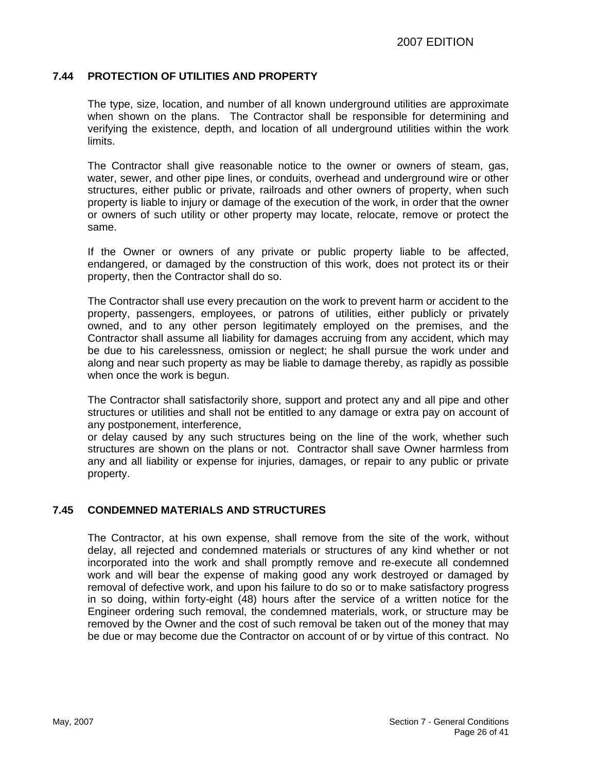## **7.44 PROTECTION OF UTILITIES AND PROPERTY**

The type, size, location, and number of all known underground utilities are approximate when shown on the plans. The Contractor shall be responsible for determining and verifying the existence, depth, and location of all underground utilities within the work limits.

The Contractor shall give reasonable notice to the owner or owners of steam, gas, water, sewer, and other pipe lines, or conduits, overhead and underground wire or other structures, either public or private, railroads and other owners of property, when such property is liable to injury or damage of the execution of the work, in order that the owner or owners of such utility or other property may locate, relocate, remove or protect the same.

If the Owner or owners of any private or public property liable to be affected, endangered, or damaged by the construction of this work, does not protect its or their property, then the Contractor shall do so.

The Contractor shall use every precaution on the work to prevent harm or accident to the property, passengers, employees, or patrons of utilities, either publicly or privately owned, and to any other person legitimately employed on the premises, and the Contractor shall assume all liability for damages accruing from any accident, which may be due to his carelessness, omission or neglect; he shall pursue the work under and along and near such property as may be liable to damage thereby, as rapidly as possible when once the work is begun.

The Contractor shall satisfactorily shore, support and protect any and all pipe and other structures or utilities and shall not be entitled to any damage or extra pay on account of any postponement, interference,

or delay caused by any such structures being on the line of the work, whether such structures are shown on the plans or not. Contractor shall save Owner harmless from any and all liability or expense for injuries, damages, or repair to any public or private property.

## **7.45 CONDEMNED MATERIALS AND STRUCTURES**

The Contractor, at his own expense, shall remove from the site of the work, without delay, all rejected and condemned materials or structures of any kind whether or not incorporated into the work and shall promptly remove and re-execute all condemned work and will bear the expense of making good any work destroyed or damaged by removal of defective work, and upon his failure to do so or to make satisfactory progress in so doing, within forty-eight (48) hours after the service of a written notice for the Engineer ordering such removal, the condemned materials, work, or structure may be removed by the Owner and the cost of such removal be taken out of the money that may be due or may become due the Contractor on account of or by virtue of this contract. No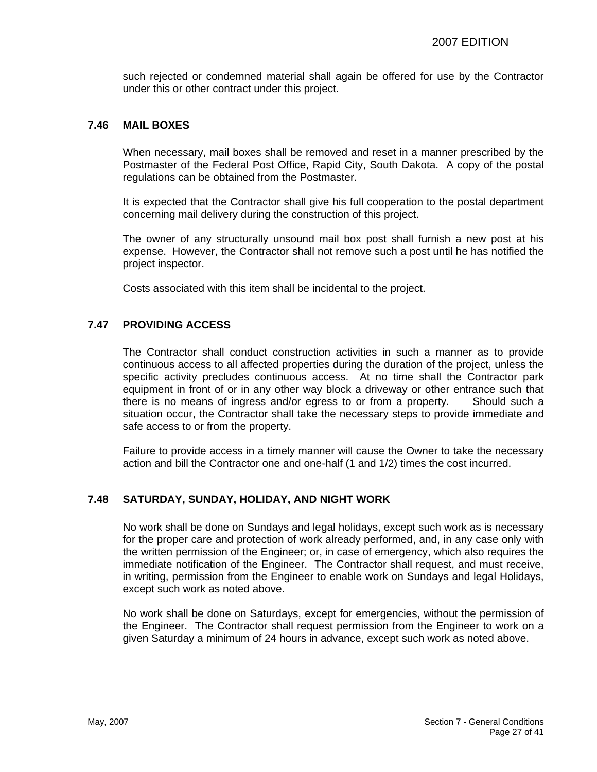such rejected or condemned material shall again be offered for use by the Contractor under this or other contract under this project.

### **7.46 MAIL BOXES**

When necessary, mail boxes shall be removed and reset in a manner prescribed by the Postmaster of the Federal Post Office, Rapid City, South Dakota. A copy of the postal regulations can be obtained from the Postmaster.

It is expected that the Contractor shall give his full cooperation to the postal department concerning mail delivery during the construction of this project.

The owner of any structurally unsound mail box post shall furnish a new post at his expense. However, the Contractor shall not remove such a post until he has notified the project inspector.

Costs associated with this item shall be incidental to the project.

## **7.47 PROVIDING ACCESS**

The Contractor shall conduct construction activities in such a manner as to provide continuous access to all affected properties during the duration of the project, unless the specific activity precludes continuous access. At no time shall the Contractor park equipment in front of or in any other way block a driveway or other entrance such that there is no means of ingress and/or egress to or from a property. Should such a situation occur, the Contractor shall take the necessary steps to provide immediate and safe access to or from the property.

Failure to provide access in a timely manner will cause the Owner to take the necessary action and bill the Contractor one and one-half (1 and 1/2) times the cost incurred.

## **7.48 SATURDAY, SUNDAY, HOLIDAY, AND NIGHT WORK**

No work shall be done on Sundays and legal holidays, except such work as is necessary for the proper care and protection of work already performed, and, in any case only with the written permission of the Engineer; or, in case of emergency, which also requires the immediate notification of the Engineer. The Contractor shall request, and must receive, in writing, permission from the Engineer to enable work on Sundays and legal Holidays, except such work as noted above.

No work shall be done on Saturdays, except for emergencies, without the permission of the Engineer. The Contractor shall request permission from the Engineer to work on a given Saturday a minimum of 24 hours in advance, except such work as noted above.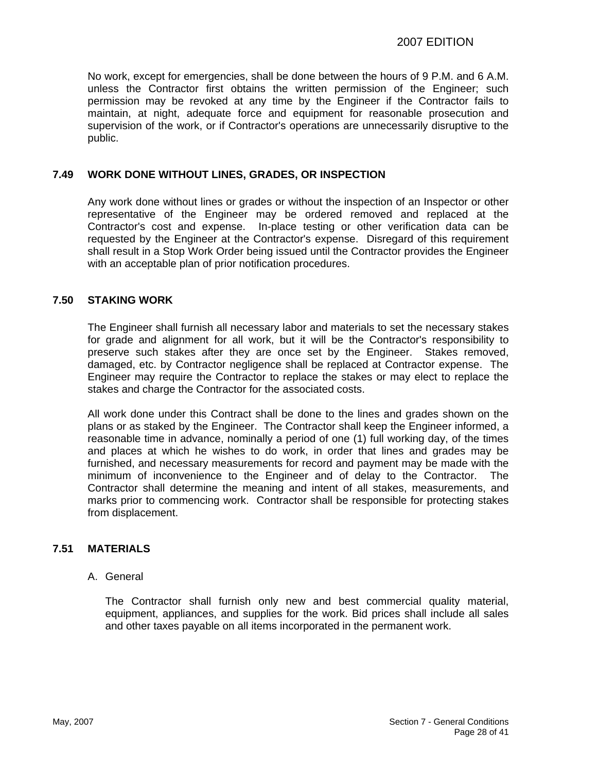No work, except for emergencies, shall be done between the hours of 9 P.M. and 6 A.M. unless the Contractor first obtains the written permission of the Engineer; such permission may be revoked at any time by the Engineer if the Contractor fails to maintain, at night, adequate force and equipment for reasonable prosecution and supervision of the work, or if Contractor's operations are unnecessarily disruptive to the public.

## **7.49 WORK DONE WITHOUT LINES, GRADES, OR INSPECTION**

Any work done without lines or grades or without the inspection of an Inspector or other representative of the Engineer may be ordered removed and replaced at the Contractor's cost and expense. In-place testing or other verification data can be requested by the Engineer at the Contractor's expense. Disregard of this requirement shall result in a Stop Work Order being issued until the Contractor provides the Engineer with an acceptable plan of prior notification procedures.

## **7.50 STAKING WORK**

The Engineer shall furnish all necessary labor and materials to set the necessary stakes for grade and alignment for all work, but it will be the Contractor's responsibility to preserve such stakes after they are once set by the Engineer. Stakes removed, damaged, etc. by Contractor negligence shall be replaced at Contractor expense. The Engineer may require the Contractor to replace the stakes or may elect to replace the stakes and charge the Contractor for the associated costs.

All work done under this Contract shall be done to the lines and grades shown on the plans or as staked by the Engineer. The Contractor shall keep the Engineer informed, a reasonable time in advance, nominally a period of one (1) full working day, of the times and places at which he wishes to do work, in order that lines and grades may be furnished, and necessary measurements for record and payment may be made with the minimum of inconvenience to the Engineer and of delay to the Contractor. The Contractor shall determine the meaning and intent of all stakes, measurements, and marks prior to commencing work. Contractor shall be responsible for protecting stakes from displacement.

## **7.51 MATERIALS**

## A. General

The Contractor shall furnish only new and best commercial quality material, equipment, appliances, and supplies for the work. Bid prices shall include all sales and other taxes payable on all items incorporated in the permanent work.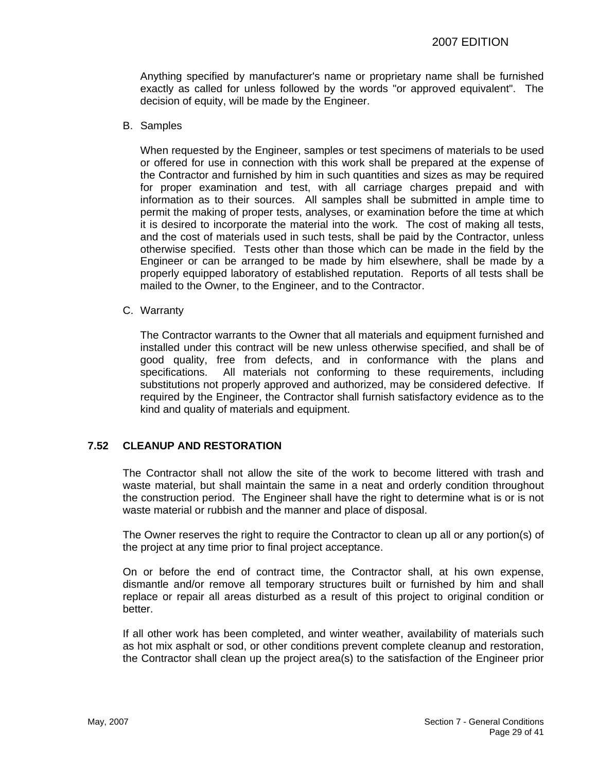Anything specified by manufacturer's name or proprietary name shall be furnished exactly as called for unless followed by the words "or approved equivalent". The decision of equity, will be made by the Engineer.

B. Samples

When requested by the Engineer, samples or test specimens of materials to be used or offered for use in connection with this work shall be prepared at the expense of the Contractor and furnished by him in such quantities and sizes as may be required for proper examination and test, with all carriage charges prepaid and with information as to their sources. All samples shall be submitted in ample time to permit the making of proper tests, analyses, or examination before the time at which it is desired to incorporate the material into the work. The cost of making all tests, and the cost of materials used in such tests, shall be paid by the Contractor, unless otherwise specified. Tests other than those which can be made in the field by the Engineer or can be arranged to be made by him elsewhere, shall be made by a properly equipped laboratory of established reputation. Reports of all tests shall be mailed to the Owner, to the Engineer, and to the Contractor.

C. Warranty

The Contractor warrants to the Owner that all materials and equipment furnished and installed under this contract will be new unless otherwise specified, and shall be of good quality, free from defects, and in conformance with the plans and specifications. All materials not conforming to these requirements, including substitutions not properly approved and authorized, may be considered defective. If required by the Engineer, the Contractor shall furnish satisfactory evidence as to the kind and quality of materials and equipment.

## **7.52 CLEANUP AND RESTORATION**

The Contractor shall not allow the site of the work to become littered with trash and waste material, but shall maintain the same in a neat and orderly condition throughout the construction period. The Engineer shall have the right to determine what is or is not waste material or rubbish and the manner and place of disposal.

The Owner reserves the right to require the Contractor to clean up all or any portion(s) of the project at any time prior to final project acceptance.

On or before the end of contract time, the Contractor shall, at his own expense, dismantle and/or remove all temporary structures built or furnished by him and shall replace or repair all areas disturbed as a result of this project to original condition or better.

If all other work has been completed, and winter weather, availability of materials such as hot mix asphalt or sod, or other conditions prevent complete cleanup and restoration, the Contractor shall clean up the project area(s) to the satisfaction of the Engineer prior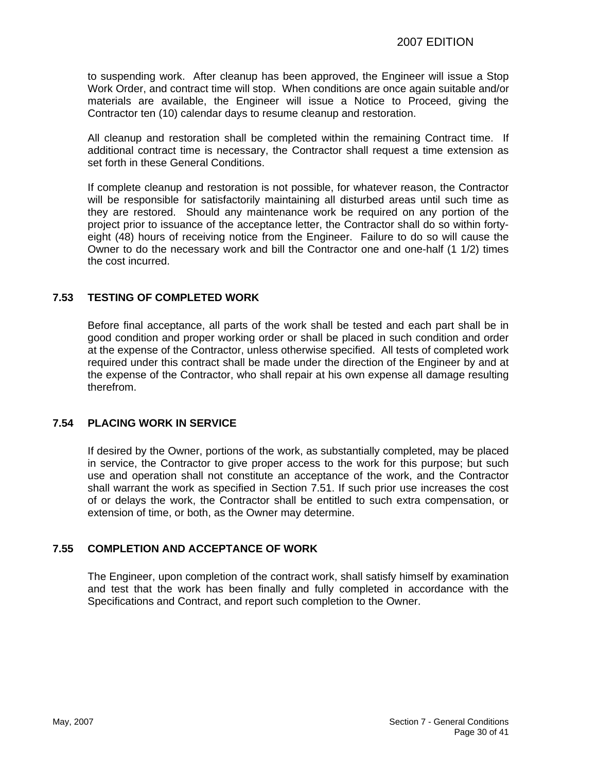to suspending work. After cleanup has been approved, the Engineer will issue a Stop Work Order, and contract time will stop. When conditions are once again suitable and/or materials are available, the Engineer will issue a Notice to Proceed, giving the Contractor ten (10) calendar days to resume cleanup and restoration.

All cleanup and restoration shall be completed within the remaining Contract time. If additional contract time is necessary, the Contractor shall request a time extension as set forth in these General Conditions.

If complete cleanup and restoration is not possible, for whatever reason, the Contractor will be responsible for satisfactorily maintaining all disturbed areas until such time as they are restored. Should any maintenance work be required on any portion of the project prior to issuance of the acceptance letter, the Contractor shall do so within fortyeight (48) hours of receiving notice from the Engineer. Failure to do so will cause the Owner to do the necessary work and bill the Contractor one and one-half (1 1/2) times the cost incurred.

## **7.53 TESTING OF COMPLETED WORK**

Before final acceptance, all parts of the work shall be tested and each part shall be in good condition and proper working order or shall be placed in such condition and order at the expense of the Contractor, unless otherwise specified. All tests of completed work required under this contract shall be made under the direction of the Engineer by and at the expense of the Contractor, who shall repair at his own expense all damage resulting therefrom.

### **7.54 PLACING WORK IN SERVICE**

If desired by the Owner, portions of the work, as substantially completed, may be placed in service, the Contractor to give proper access to the work for this purpose; but such use and operation shall not constitute an acceptance of the work, and the Contractor shall warrant the work as specified in Section 7.51. If such prior use increases the cost of or delays the work, the Contractor shall be entitled to such extra compensation, or extension of time, or both, as the Owner may determine.

## **7.55 COMPLETION AND ACCEPTANCE OF WORK**

The Engineer, upon completion of the contract work, shall satisfy himself by examination and test that the work has been finally and fully completed in accordance with the Specifications and Contract, and report such completion to the Owner.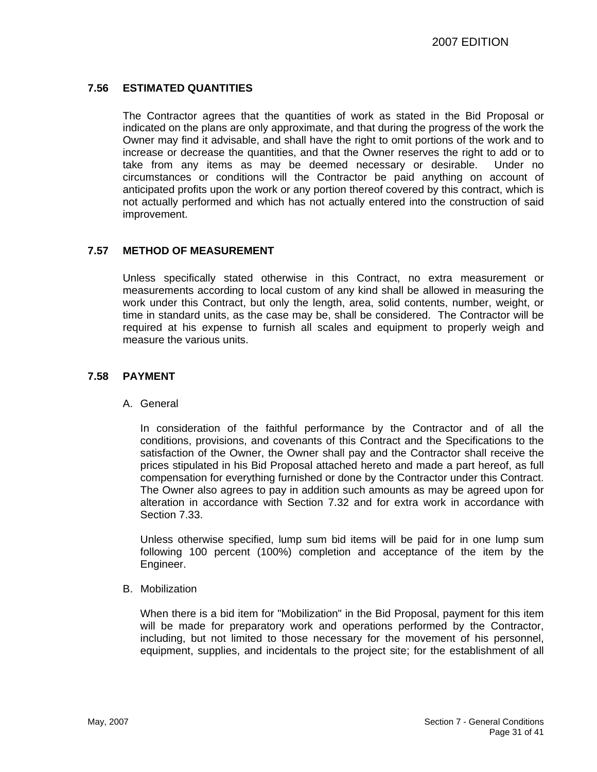## **7.56 ESTIMATED QUANTITIES**

The Contractor agrees that the quantities of work as stated in the Bid Proposal or indicated on the plans are only approximate, and that during the progress of the work the Owner may find it advisable, and shall have the right to omit portions of the work and to increase or decrease the quantities, and that the Owner reserves the right to add or to take from any items as may be deemed necessary or desirable. Under no circumstances or conditions will the Contractor be paid anything on account of anticipated profits upon the work or any portion thereof covered by this contract, which is not actually performed and which has not actually entered into the construction of said improvement.

## **7.57 METHOD OF MEASUREMENT**

Unless specifically stated otherwise in this Contract, no extra measurement or measurements according to local custom of any kind shall be allowed in measuring the work under this Contract, but only the length, area, solid contents, number, weight, or time in standard units, as the case may be, shall be considered. The Contractor will be required at his expense to furnish all scales and equipment to properly weigh and measure the various units.

### **7.58 PAYMENT**

A. General

In consideration of the faithful performance by the Contractor and of all the conditions, provisions, and covenants of this Contract and the Specifications to the satisfaction of the Owner, the Owner shall pay and the Contractor shall receive the prices stipulated in his Bid Proposal attached hereto and made a part hereof, as full compensation for everything furnished or done by the Contractor under this Contract. The Owner also agrees to pay in addition such amounts as may be agreed upon for alteration in accordance with Section 7.32 and for extra work in accordance with Section 7.33.

Unless otherwise specified, lump sum bid items will be paid for in one lump sum following 100 percent (100%) completion and acceptance of the item by the Engineer.

### B. Mobilization

When there is a bid item for "Mobilization" in the Bid Proposal, payment for this item will be made for preparatory work and operations performed by the Contractor, including, but not limited to those necessary for the movement of his personnel, equipment, supplies, and incidentals to the project site; for the establishment of all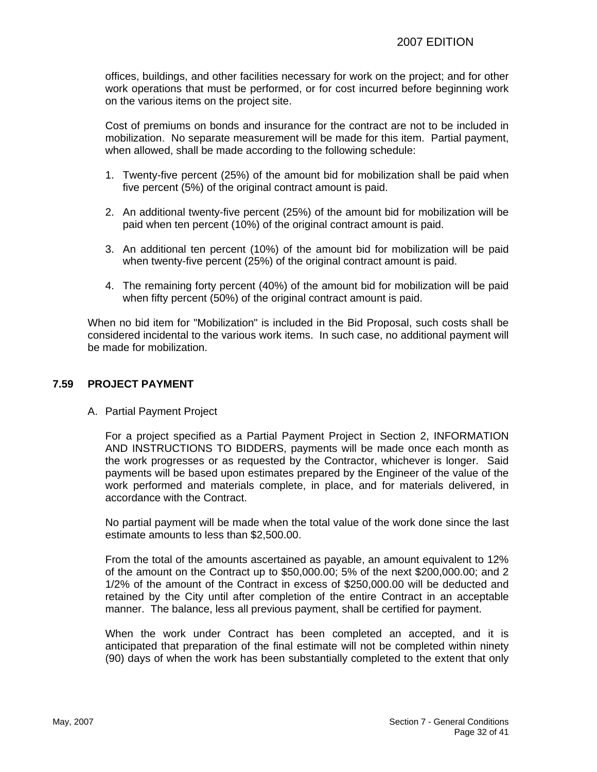offices, buildings, and other facilities necessary for work on the project; and for other work operations that must be performed, or for cost incurred before beginning work on the various items on the project site.

Cost of premiums on bonds and insurance for the contract are not to be included in mobilization. No separate measurement will be made for this item. Partial payment, when allowed, shall be made according to the following schedule:

- 1. Twenty-five percent (25%) of the amount bid for mobilization shall be paid when five percent (5%) of the original contract amount is paid.
- 2. An additional twenty-five percent (25%) of the amount bid for mobilization will be paid when ten percent (10%) of the original contract amount is paid.
- 3. An additional ten percent (10%) of the amount bid for mobilization will be paid when twenty-five percent (25%) of the original contract amount is paid.
- 4. The remaining forty percent (40%) of the amount bid for mobilization will be paid when fifty percent (50%) of the original contract amount is paid.

When no bid item for "Mobilization" is included in the Bid Proposal, such costs shall be considered incidental to the various work items. In such case, no additional payment will be made for mobilization.

### **7.59 PROJECT PAYMENT**

### A. Partial Payment Project

For a project specified as a Partial Payment Project in Section 2, INFORMATION AND INSTRUCTIONS TO BIDDERS, payments will be made once each month as the work progresses or as requested by the Contractor, whichever is longer. Said payments will be based upon estimates prepared by the Engineer of the value of the work performed and materials complete, in place, and for materials delivered, in accordance with the Contract.

No partial payment will be made when the total value of the work done since the last estimate amounts to less than \$2,500.00.

From the total of the amounts ascertained as payable, an amount equivalent to 12% of the amount on the Contract up to \$50,000.00; 5% of the next \$200,000.00; and 2 1/2% of the amount of the Contract in excess of \$250,000.00 will be deducted and retained by the City until after completion of the entire Contract in an acceptable manner. The balance, less all previous payment, shall be certified for payment.

When the work under Contract has been completed an accepted, and it is anticipated that preparation of the final estimate will not be completed within ninety (90) days of when the work has been substantially completed to the extent that only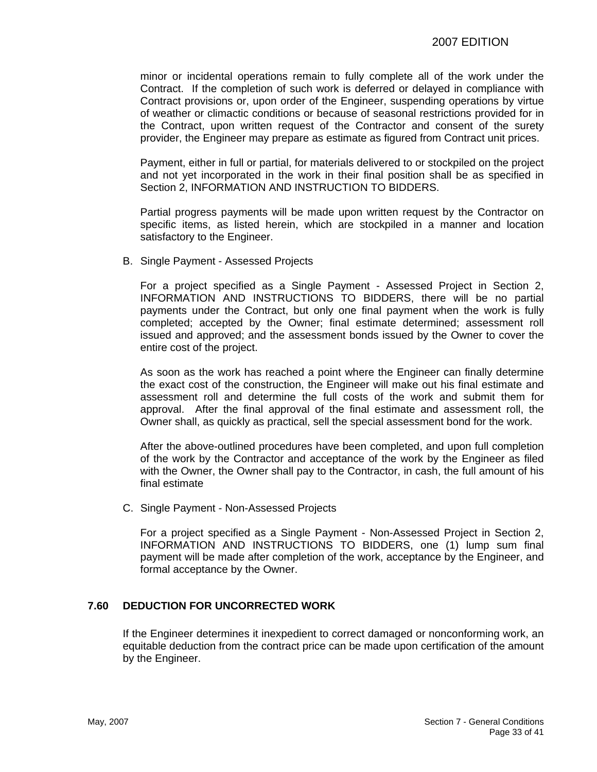minor or incidental operations remain to fully complete all of the work under the Contract. If the completion of such work is deferred or delayed in compliance with Contract provisions or, upon order of the Engineer, suspending operations by virtue of weather or climactic conditions or because of seasonal restrictions provided for in the Contract, upon written request of the Contractor and consent of the surety provider, the Engineer may prepare as estimate as figured from Contract unit prices.

Payment, either in full or partial, for materials delivered to or stockpiled on the project and not yet incorporated in the work in their final position shall be as specified in Section 2, INFORMATION AND INSTRUCTION TO BIDDERS.

Partial progress payments will be made upon written request by the Contractor on specific items, as listed herein, which are stockpiled in a manner and location satisfactory to the Engineer.

B. Single Payment - Assessed Projects

For a project specified as a Single Payment - Assessed Project in Section 2, INFORMATION AND INSTRUCTIONS TO BIDDERS, there will be no partial payments under the Contract, but only one final payment when the work is fully completed; accepted by the Owner; final estimate determined; assessment roll issued and approved; and the assessment bonds issued by the Owner to cover the entire cost of the project.

As soon as the work has reached a point where the Engineer can finally determine the exact cost of the construction, the Engineer will make out his final estimate and assessment roll and determine the full costs of the work and submit them for approval. After the final approval of the final estimate and assessment roll, the Owner shall, as quickly as practical, sell the special assessment bond for the work.

After the above-outlined procedures have been completed, and upon full completion of the work by the Contractor and acceptance of the work by the Engineer as filed with the Owner, the Owner shall pay to the Contractor, in cash, the full amount of his final estimate

C. Single Payment - Non-Assessed Projects

For a project specified as a Single Payment - Non-Assessed Project in Section 2, INFORMATION AND INSTRUCTIONS TO BIDDERS, one (1) lump sum final payment will be made after completion of the work, acceptance by the Engineer, and formal acceptance by the Owner.

## **7.60 DEDUCTION FOR UNCORRECTED WORK**

If the Engineer determines it inexpedient to correct damaged or nonconforming work, an equitable deduction from the contract price can be made upon certification of the amount by the Engineer.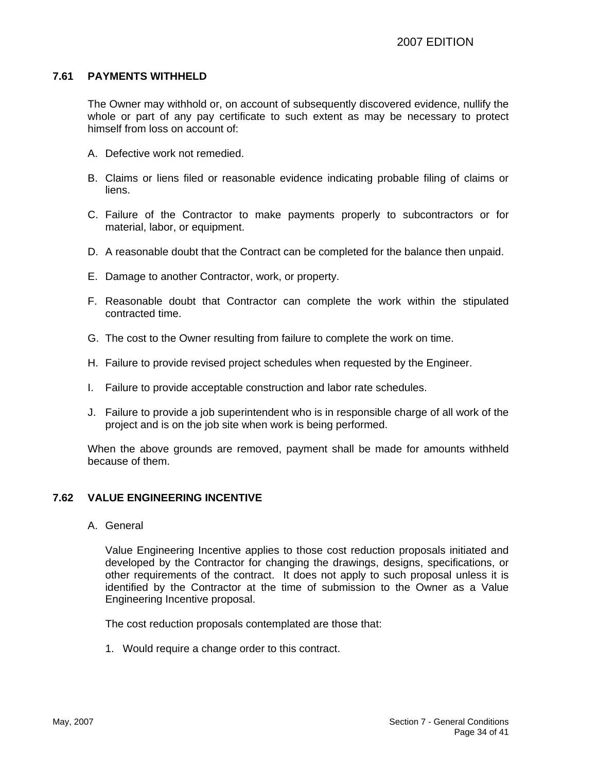## **7.61 PAYMENTS WITHHELD**

The Owner may withhold or, on account of subsequently discovered evidence, nullify the whole or part of any pay certificate to such extent as may be necessary to protect himself from loss on account of:

- A. Defective work not remedied.
- B. Claims or liens filed or reasonable evidence indicating probable filing of claims or liens.
- C. Failure of the Contractor to make payments properly to subcontractors or for material, labor, or equipment.
- D. A reasonable doubt that the Contract can be completed for the balance then unpaid.
- E. Damage to another Contractor, work, or property.
- F. Reasonable doubt that Contractor can complete the work within the stipulated contracted time.
- G. The cost to the Owner resulting from failure to complete the work on time.
- H. Failure to provide revised project schedules when requested by the Engineer.
- I. Failure to provide acceptable construction and labor rate schedules.
- J. Failure to provide a job superintendent who is in responsible charge of all work of the project and is on the job site when work is being performed.

When the above grounds are removed, payment shall be made for amounts withheld because of them.

## **7.62 VALUE ENGINEERING INCENTIVE**

A. General

Value Engineering Incentive applies to those cost reduction proposals initiated and developed by the Contractor for changing the drawings, designs, specifications, or other requirements of the contract. It does not apply to such proposal unless it is identified by the Contractor at the time of submission to the Owner as a Value Engineering Incentive proposal.

The cost reduction proposals contemplated are those that:

1. Would require a change order to this contract.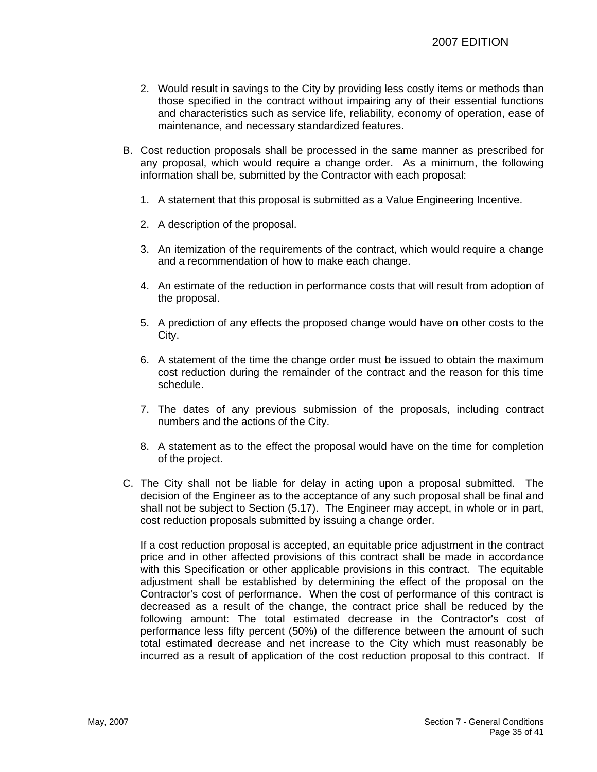- 2. Would result in savings to the City by providing less costly items or methods than those specified in the contract without impairing any of their essential functions and characteristics such as service life, reliability, economy of operation, ease of maintenance, and necessary standardized features.
- B. Cost reduction proposals shall be processed in the same manner as prescribed for any proposal, which would require a change order. As a minimum, the following information shall be, submitted by the Contractor with each proposal:
	- 1. A statement that this proposal is submitted as a Value Engineering Incentive.
	- 2. A description of the proposal.
	- 3. An itemization of the requirements of the contract, which would require a change and a recommendation of how to make each change.
	- 4. An estimate of the reduction in performance costs that will result from adoption of the proposal.
	- 5. A prediction of any effects the proposed change would have on other costs to the City.
	- 6. A statement of the time the change order must be issued to obtain the maximum cost reduction during the remainder of the contract and the reason for this time schedule.
	- 7. The dates of any previous submission of the proposals, including contract numbers and the actions of the City.
	- 8. A statement as to the effect the proposal would have on the time for completion of the project.
- C. The City shall not be liable for delay in acting upon a proposal submitted. The decision of the Engineer as to the acceptance of any such proposal shall be final and shall not be subject to Section (5.17). The Engineer may accept, in whole or in part, cost reduction proposals submitted by issuing a change order.

If a cost reduction proposal is accepted, an equitable price adjustment in the contract price and in other affected provisions of this contract shall be made in accordance with this Specification or other applicable provisions in this contract. The equitable adjustment shall be established by determining the effect of the proposal on the Contractor's cost of performance. When the cost of performance of this contract is decreased as a result of the change, the contract price shall be reduced by the following amount: The total estimated decrease in the Contractor's cost of performance less fifty percent (50%) of the difference between the amount of such total estimated decrease and net increase to the City which must reasonably be incurred as a result of application of the cost reduction proposal to this contract. If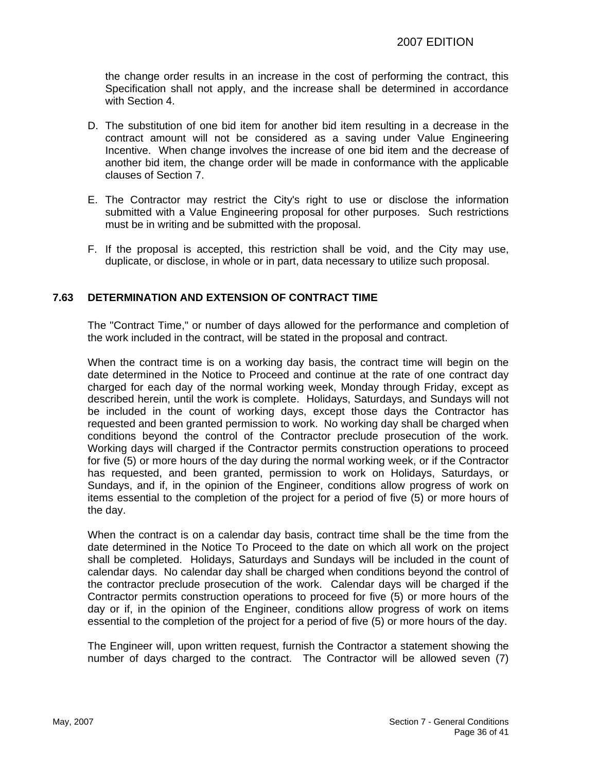the change order results in an increase in the cost of performing the contract, this Specification shall not apply, and the increase shall be determined in accordance with Section 4.

- D. The substitution of one bid item for another bid item resulting in a decrease in the contract amount will not be considered as a saving under Value Engineering Incentive. When change involves the increase of one bid item and the decrease of another bid item, the change order will be made in conformance with the applicable clauses of Section 7.
- E. The Contractor may restrict the City's right to use or disclose the information submitted with a Value Engineering proposal for other purposes. Such restrictions must be in writing and be submitted with the proposal.
- F. If the proposal is accepted, this restriction shall be void, and the City may use, duplicate, or disclose, in whole or in part, data necessary to utilize such proposal.

## **7.63 DETERMINATION AND EXTENSION OF CONTRACT TIME**

The "Contract Time," or number of days allowed for the performance and completion of the work included in the contract, will be stated in the proposal and contract.

When the contract time is on a working day basis, the contract time will begin on the date determined in the Notice to Proceed and continue at the rate of one contract day charged for each day of the normal working week, Monday through Friday, except as described herein, until the work is complete. Holidays, Saturdays, and Sundays will not be included in the count of working days, except those days the Contractor has requested and been granted permission to work. No working day shall be charged when conditions beyond the control of the Contractor preclude prosecution of the work. Working days will charged if the Contractor permits construction operations to proceed for five (5) or more hours of the day during the normal working week, or if the Contractor has requested, and been granted, permission to work on Holidays, Saturdays, or Sundays, and if, in the opinion of the Engineer, conditions allow progress of work on items essential to the completion of the project for a period of five (5) or more hours of the day.

When the contract is on a calendar day basis, contract time shall be the time from the date determined in the Notice To Proceed to the date on which all work on the project shall be completed. Holidays, Saturdays and Sundays will be included in the count of calendar days. No calendar day shall be charged when conditions beyond the control of the contractor preclude prosecution of the work. Calendar days will be charged if the Contractor permits construction operations to proceed for five (5) or more hours of the day or if, in the opinion of the Engineer, conditions allow progress of work on items essential to the completion of the project for a period of five (5) or more hours of the day.

The Engineer will, upon written request, furnish the Contractor a statement showing the number of days charged to the contract. The Contractor will be allowed seven (7)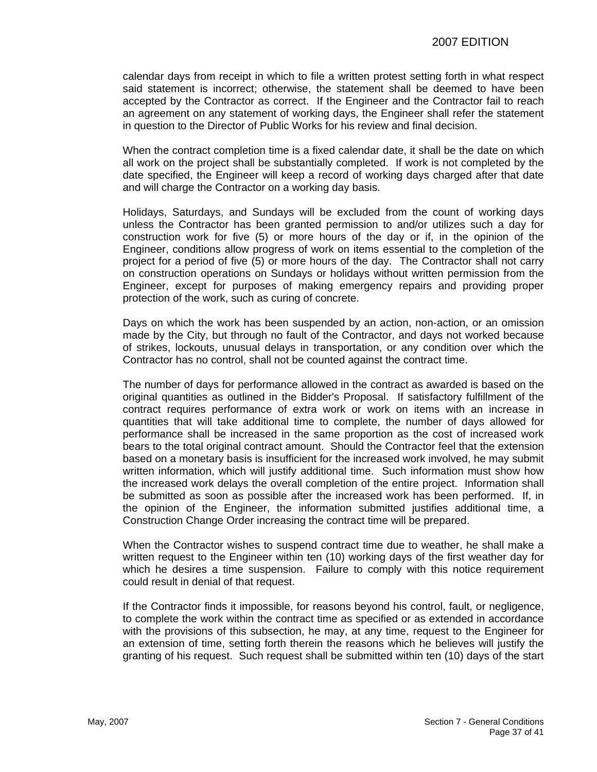calendar days from receipt in which to file a written protest setting forth in what respect said statement is incorrect; otherwise, the statement shall be deemed to have been accepted by the Contractor as correct. If the Engineer and the Contractor fail to reach an agreement on any statement of working days, the Engineer shall refer the statement in question to the Director of Public Works for his review and final decision.

When the contract completion time is a fixed calendar date, it shall be the date on which all work on the project shall be substantially completed. If work is not completed by the date specified, the Engineer will keep a record of working days charged after that date and will charge the Contractor on a working day basis.

Holidays, Saturdays, and Sundays will be excluded from the count of working days unless the Contractor has been granted permission to and/or utilizes such a day for construction work for five (5) or more hours of the day or if, in the opinion of the Engineer, conditions allow progress of work on items essential to the completion of the project for a period of five (5) or more hours of the day. The Contractor shall not carry on construction operations on Sundays or holidays without written permission from the Engineer, except for purposes of making emergency repairs and providing proper protection of the work, such as curing of concrete.

Days on which the work has been suspended by an action, non-action, or an omission made by the City, but through no fault of the Contractor, and days not worked because of strikes, lockouts, unusual delays in transportation, or any condition over which the Contractor has no control, shall not be counted against the contract time.

The number of days for performance allowed in the contract as awarded is based on the original quantities as outlined in the Bidder's Proposal. If satisfactory fulfillment of the contract requires performance of extra work or work on items with an increase in quantities that will take additional time to complete, the number of days allowed for performance shall be increased in the same proportion as the cost of increased work bears to the total original contract amount. Should the Contractor feel that the extension based on a monetary basis is insufficient for the increased work involved, he may submit written information, which will justify additional time. Such information must show how the increased work delays the overall completion of the entire project. Information shall be submitted as soon as possible after the increased work has been performed. If, in the opinion of the Engineer, the information submitted justifies additional time, a Construction Change Order increasing the contract time will be prepared.

When the Contractor wishes to suspend contract time due to weather, he shall make a written request to the Engineer within ten (10) working days of the first weather day for which he desires a time suspension. Failure to comply with this notice requirement could result in denial of that request.

If the Contractor finds it impossible, for reasons beyond his control, fault, or negligence, to complete the work within the contract time as specified or as extended in accordance with the provisions of this subsection, he may, at any time, request to the Engineer for an extension of time, setting forth therein the reasons which he believes will justify the granting of his request. Such request shall be submitted within ten (10) days of the start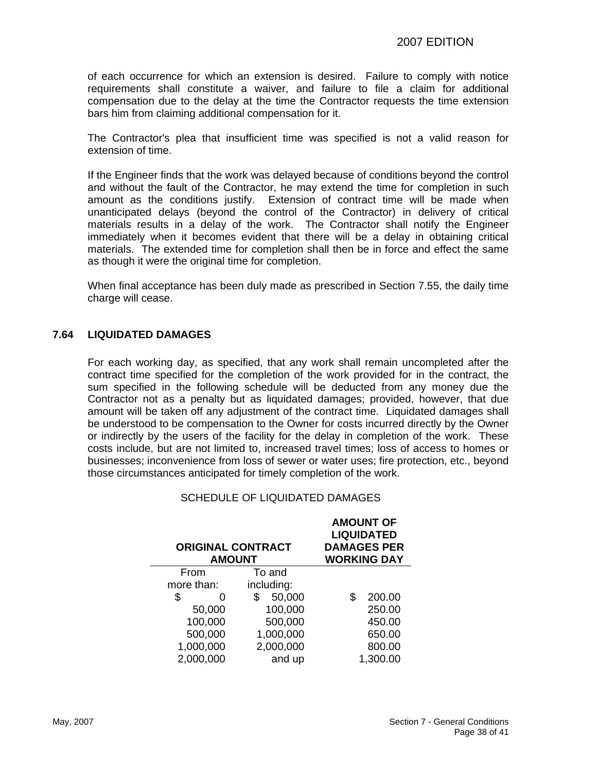of each occurrence for which an extension is desired. Failure to comply with notice requirements shall constitute a waiver, and failure to file a claim for additional compensation due to the delay at the time the Contractor requests the time extension bars him from claiming additional compensation for it.

The Contractor's plea that insufficient time was specified is not a valid reason for extension of time.

If the Engineer finds that the work was delayed because of conditions beyond the control and without the fault of the Contractor, he may extend the time for completion in such amount as the conditions justify. Extension of contract time will be made when unanticipated delays (beyond the control of the Contractor) in delivery of critical materials results in a delay of the work. The Contractor shall notify the Engineer immediately when it becomes evident that there will be a delay in obtaining critical materials. The extended time for completion shall then be in force and effect the same as though it were the original time for completion.

When final acceptance has been duly made as prescribed in Section 7.55, the daily time charge will cease.

### **7.64 LIQUIDATED DAMAGES**

For each working day, as specified, that any work shall remain uncompleted after the contract time specified for the completion of the work provided for in the contract, the sum specified in the following schedule will be deducted from any money due the Contractor not as a penalty but as liquidated damages; provided, however, that due amount will be taken off any adjustment of the contract time. Liquidated damages shall be understood to be compensation to the Owner for costs incurred directly by the Owner or indirectly by the users of the facility for the delay in completion of the work. These costs include, but are not limited to, increased travel times; loss of access to homes or businesses; inconvenience from loss of sewer or water uses; fire protection, etc., beyond those circumstances anticipated for timely completion of the work.

#### SCHEDULE OF LIQUIDATED DAMAGES

| <b>ORIGINAL CONTRACT</b><br><b>AMOUNT</b> | <b>AMOUNT OF</b><br><b>LIQUIDATED</b><br><b>DAMAGES PER</b><br><b>WORKING DAY</b> |              |
|-------------------------------------------|-----------------------------------------------------------------------------------|--------------|
| From                                      | To and                                                                            |              |
| more than:                                | including:                                                                        |              |
| \$<br>O                                   | 50,000<br>\$                                                                      | 200.00<br>\$ |
| 50,000                                    | 100,000                                                                           | 250.00       |
| 100,000                                   | 500,000                                                                           | 450.00       |
| 500,000                                   | 1,000,000                                                                         | 650.00       |
| 1,000,000                                 | 2,000,000                                                                         | 800.00       |
| 2,000,000                                 | and up                                                                            | 1,300.00     |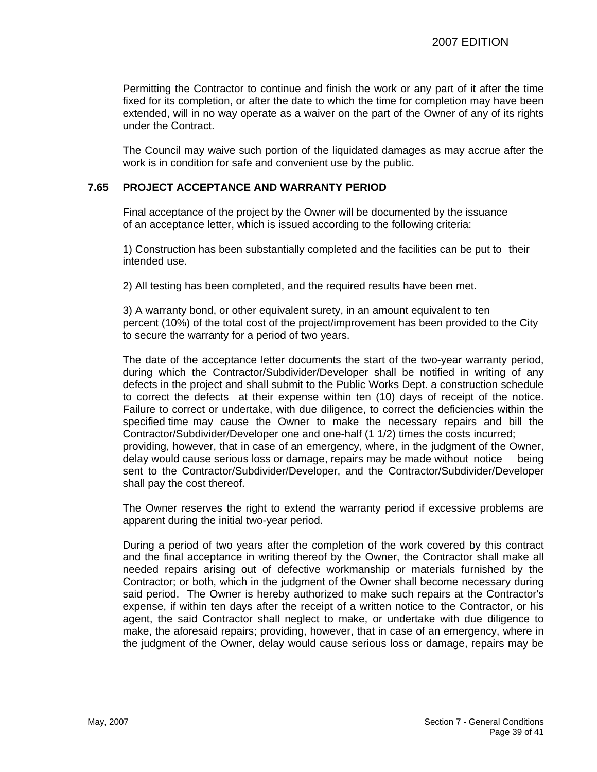Permitting the Contractor to continue and finish the work or any part of it after the time fixed for its completion, or after the date to which the time for completion may have been extended, will in no way operate as a waiver on the part of the Owner of any of its rights under the Contract.

The Council may waive such portion of the liquidated damages as may accrue after the work is in condition for safe and convenient use by the public.

### **7.65 PROJECT ACCEPTANCE AND WARRANTY PERIOD**

Final acceptance of the project by the Owner will be documented by the issuance of an acceptance letter, which is issued according to the following criteria:

1) Construction has been substantially completed and the facilities can be put to their intended use.

2) All testing has been completed, and the required results have been met.

3) A warranty bond, or other equivalent surety, in an amount equivalent to ten percent (10%) of the total cost of the project/improvement has been provided to the City to secure the warranty for a period of two years.

The date of the acceptance letter documents the start of the two-year warranty period, during which the Contractor/Subdivider/Developer shall be notified in writing of any defects in the project and shall submit to the Public Works Dept. a construction schedule to correct the defects at their expense within ten (10) days of receipt of the notice. Failure to correct or undertake, with due diligence, to correct the deficiencies within the specified time may cause the Owner to make the necessary repairs and bill the Contractor/Subdivider/Developer one and one-half (1 1/2) times the costs incurred; providing, however, that in case of an emergency, where, in the judgment of the Owner, delay would cause serious loss or damage, repairs may be made without notice being sent to the Contractor/Subdivider/Developer, and the Contractor/Subdivider/Developer shall pay the cost thereof.

The Owner reserves the right to extend the warranty period if excessive problems are apparent during the initial two-year period.

During a period of two years after the completion of the work covered by this contract and the final acceptance in writing thereof by the Owner, the Contractor shall make all needed repairs arising out of defective workmanship or materials furnished by the Contractor; or both, which in the judgment of the Owner shall become necessary during said period. The Owner is hereby authorized to make such repairs at the Contractor's expense, if within ten days after the receipt of a written notice to the Contractor, or his agent, the said Contractor shall neglect to make, or undertake with due diligence to make, the aforesaid repairs; providing, however, that in case of an emergency, where in the judgment of the Owner, delay would cause serious loss or damage, repairs may be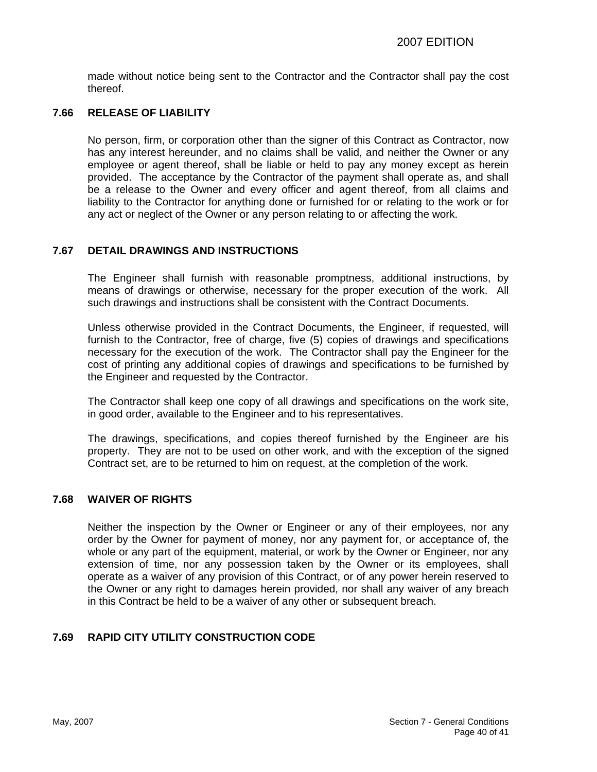made without notice being sent to the Contractor and the Contractor shall pay the cost thereof.

## **7.66 RELEASE OF LIABILITY**

No person, firm, or corporation other than the signer of this Contract as Contractor, now has any interest hereunder, and no claims shall be valid, and neither the Owner or any employee or agent thereof, shall be liable or held to pay any money except as herein provided. The acceptance by the Contractor of the payment shall operate as, and shall be a release to the Owner and every officer and agent thereof, from all claims and liability to the Contractor for anything done or furnished for or relating to the work or for any act or neglect of the Owner or any person relating to or affecting the work.

### **7.67 DETAIL DRAWINGS AND INSTRUCTIONS**

The Engineer shall furnish with reasonable promptness, additional instructions, by means of drawings or otherwise, necessary for the proper execution of the work. All such drawings and instructions shall be consistent with the Contract Documents.

Unless otherwise provided in the Contract Documents, the Engineer, if requested, will furnish to the Contractor, free of charge, five (5) copies of drawings and specifications necessary for the execution of the work. The Contractor shall pay the Engineer for the cost of printing any additional copies of drawings and specifications to be furnished by the Engineer and requested by the Contractor.

The Contractor shall keep one copy of all drawings and specifications on the work site, in good order, available to the Engineer and to his representatives.

The drawings, specifications, and copies thereof furnished by the Engineer are his property. They are not to be used on other work, and with the exception of the signed Contract set, are to be returned to him on request, at the completion of the work.

### **7.68 WAIVER OF RIGHTS**

Neither the inspection by the Owner or Engineer or any of their employees, nor any order by the Owner for payment of money, nor any payment for, or acceptance of, the whole or any part of the equipment, material, or work by the Owner or Engineer, nor any extension of time, nor any possession taken by the Owner or its employees, shall operate as a waiver of any provision of this Contract, or of any power herein reserved to the Owner or any right to damages herein provided, nor shall any waiver of any breach in this Contract be held to be a waiver of any other or subsequent breach.

## **7.69 RAPID CITY UTILITY CONSTRUCTION CODE**